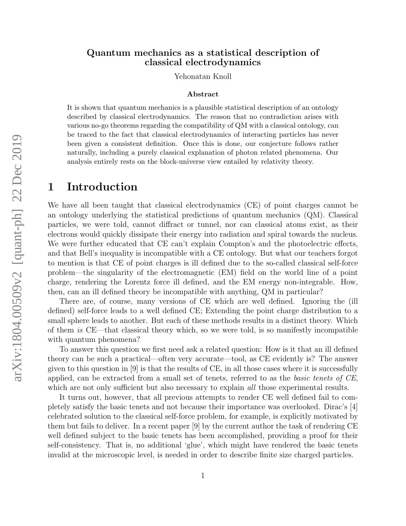### Quantum mechanics as a statistical description of classical electrodynamics

Yehonatan Knoll

#### Abstract

It is shown that quantum mechanics is a plausible statistical description of an ontology described by classical electrodynamics. The reason that no contradiction arises with various no-go theorems regarding the compatibility of QM with a classical ontology, can be traced to the fact that classical electrodynamics of interacting particles has never been given a consistent definition. Once this is done, our conjecture follows rather naturally, including a purely classical explanation of photon related phenomena. Our analysis entirely rests on the block-universe view entailed by relativity theory.

## 1 Introduction

We have all been taught that classical electrodynamics (CE) of point charges cannot be an ontology underlying the statistical predictions of quantum mechanics (QM). Classical particles, we were told, cannot diffract or tunnel, nor can classical atoms exist, as their electrons would quickly dissipate their energy into radiation and spiral towards the nucleus. We were further educated that CE can't explain Compton's and the photoelectric effects, and that Bell's inequality is incompatible with a CE ontology. But what our teachers forgot to mention is that CE of point charges is ill defined due to the so-called classical self-force problem—the singularity of the electromagnetic (EM) field on the world line of a point charge, rendering the Lorentz force ill defined, and the EM energy non-integrable. How, then, can an ill defined theory be incompatible with anything, QM in particular?

There are, of course, many versions of CE which are well defined. Ignoring the (ill defined) self-force leads to a well defined CE; Extending the point charge distribution to a small sphere leads to another. But each of these methods results in a distinct theory. Which of them is CE—that classical theory which, so we were told, is so manifestly incompatible with quantum phenomena?

To answer this question we first need ask a related question: How is it that an ill defined theory can be such a practical—often very accurate—tool, as CE evidently is? The answer given to this question in [9] is that the results of CE, in all those cases where it is successfully applied, can be extracted from a small set of tenets, referred to as the basic tenets of CE, which are not only sufficient but also necessary to explain *all* those experimental results.

It turns out, however, that all previous attempts to render CE well defined fail to completely satisfy the basic tenets and not because their importance was overlooked. Dirac's [4] celebrated solution to the classical self-force problem, for example, is explicitly motivated by them but fails to deliver. In a recent paper [9] by the current author the task of rendering CE well defined subject to the basic tenets has been accomplished, providing a proof for their self-consistency. That is, no additional 'glue', which might have rendered the basic tenets invalid at the microscopic level, is needed in order to describe finite size charged particles.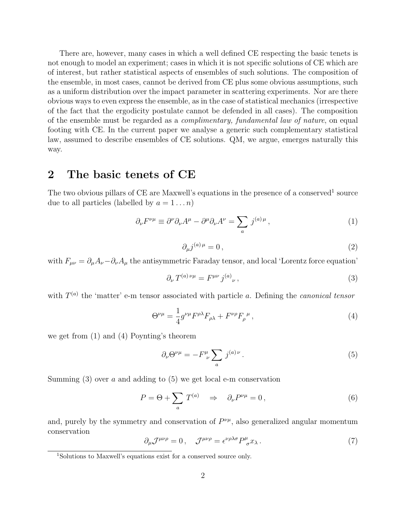There are, however, many cases in which a well defined CE respecting the basic tenets is not enough to model an experiment; cases in which it is not specific solutions of CE which are of interest, but rather statistical aspects of ensembles of such solutions. The composition of the ensemble, in most cases, cannot be derived from CE plus some obvious assumptions, such as a uniform distribution over the impact parameter in scattering experiments. Nor are there obvious ways to even express the ensemble, as in the case of statistical mechanics (irrespective of the fact that the ergodicity postulate cannot be defended in all cases). The composition of the ensemble must be regarded as a complimentary, fundamental law of nature, on equal footing with CE. In the current paper we analyse a generic such complementary statistical law, assumed to describe ensembles of CE solutions. QM, we argue, emerges naturally this way.

## 2 The basic tenets of CE

The two obvious pillars of CE are Maxwell's equations in the presence of a conserved<sup>1</sup> source due to all particles (labelled by  $a = 1...n$ )

$$
\partial_{\nu}F^{\nu\mu} \equiv \partial^{\nu}\partial_{\nu}A^{\mu} - \partial^{\mu}\partial_{\nu}A^{\nu} = \sum_{a} j^{(a)\,\mu},\tag{1}
$$

$$
\partial_{\mu}j^{(a)\,\mu} = 0\,,\tag{2}
$$

with  $F_{\mu\nu} = \partial_{\mu}A_{\nu}-\partial_{\nu}A_{\mu}$  the antisymmetric Faraday tensor, and local 'Lorentz force equation'

$$
\partial_{\nu} T^{(a)\,\nu\mu} = F^{\mu\nu} \, j^{(a)}_{\nu} \,, \tag{3}
$$

with  $T^{(a)}$  the 'matter' e-m tensor associated with particle a. Defining the canonical tensor

$$
\Theta^{\nu\mu} = \frac{1}{4} g^{\nu\mu} F^{\rho\lambda} F_{\rho\lambda} + F^{\nu\rho} F_{\rho}{}^{\mu},\tag{4}
$$

we get from (1) and (4) Poynting's theorem

$$
\partial_{\nu}\Theta^{\nu\mu} = -F^{\mu}_{\ \nu}\sum_{a}j^{(a)\,\nu}.
$$
\n(5)

Summing  $(3)$  over a and adding to  $(5)$  we get local e-m conservation

$$
P = \Theta + \sum_{a} T^{(a)} \quad \Rightarrow \quad \partial_{\nu} P^{\nu \mu} = 0, \tag{6}
$$

and, purely by the symmetry and conservation of  $P^{\nu\mu}$ , also generalized angular momentum conservation

$$
\partial_{\mu} \mathcal{J}^{\mu\nu\rho} = 0, \quad \mathcal{J}^{\mu\nu\rho} = \epsilon^{\nu\rho\lambda\sigma} P^{\mu}_{\ \sigma} x_{\lambda} \,. \tag{7}
$$

<sup>1</sup>Solutions to Maxwell's equations exist for a conserved source only.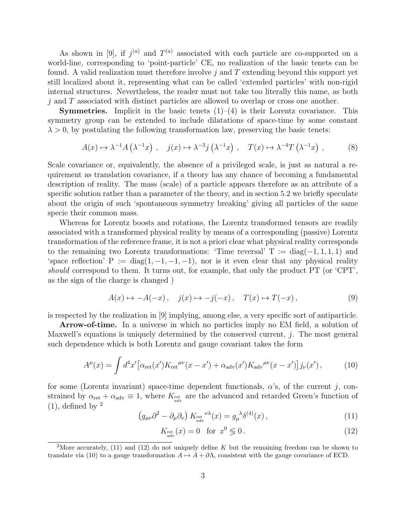As shown in [9], if  $j^{(a)}$  and  $T^{(a)}$  associated with each particle are co-supported on a world-line, corresponding to 'point-particle' CE, no realization of the basic tenets can be found. A valid realization must therefore involve  $j$  and  $T$  extending beyond this support yet still localized about it, representing what can be called 'extended particles' with non-rigid internal structures. Nevertheless, the reader must not take too literally this name, as both  $j$  and  $T$  associated with distinct particles are allowed to overlap or cross one another.

**Symmetries.** Implicit in the basic tenets  $(1)-(4)$  is their Lorentz covariance. This symmetry group can be extended to include dilatations of space-time by some constant  $\lambda > 0$ , by postulating the following transformation law, preserving the basic tenets:

$$
A(x) \mapsto \lambda^{-1} A \left( \lambda^{-1} x \right) , \quad j(x) \mapsto \lambda^{-3} j \left( \lambda^{-1} x \right) , \quad T(x) \mapsto \lambda^{-4} T \left( \lambda^{-1} x \right) , \tag{8}
$$

Scale covariance or, equivalently, the absence of a privileged scale, is just as natural a requirement as translation covariance, if a theory has any chance of becoming a fundamental description of reality. The mass (scale) of a particle appears therefore as an attribute of a specific solution rather than a parameter of the theory, and in section 5.2 we briefly speculate about the origin of such 'spontaneous symmetry breaking' giving all particles of the same specie their common mass.

Whereas for Lorentz boosts and rotations, the Lorentz transformed tensors are readily associated with a transformed physical reality by means of a corresponding (passive) Lorentz transformation of the reference frame, it is not a priori clear what physical reality corresponds to the remaining two Lorentz transformations: 'Time reversal' T := diag( $-1, 1, 1, 1$ ) and 'space reflection' P := diag(1, -1, -1, -1), nor is it even clear that any physical reality should correspond to them. It turns out, for example, that only the product PT (or 'CPT', as the sign of the charge is changed )

$$
A(x) \mapsto -A(-x), \quad j(x) \mapsto -j(-x), \quad T(x) \mapsto T(-x), \tag{9}
$$

is respected by the realization in [9] implying, among else, a very specific sort of antiparticle.

Arrow-of-time. In a universe in which no particles imply no EM field, a solution of Maxwell's equations is uniquely determined by the conserved current,  $j$ . The most general such dependence which is both Lorentz and gauge covariant takes the form

$$
A^{\mu}(x) = \int d^4x' \big[ \alpha_{\rm ret}(x') K_{\rm ret}{}^{\mu\nu}(x - x') + \alpha_{\rm adv}(x') K_{\rm adv}{}^{\mu\nu}(x - x') \big] j_{\nu}(x') , \qquad (10)
$$

for some (Lorentz invariant) space-time dependent functionals,  $\alpha$ 's, of the current j, constrained by  $\alpha_{\rm ret} + \alpha_{\rm adv} \equiv 1$ , where  $K_{\rm ret}$  are the advanced and retarded Green's function of  $(1)$ , defined by <sup>2</sup>

$$
\left(g_{\mu\nu}\partial^2 - \partial_\mu\partial_\nu\right)K_{\text{adv}}^{\text{ret}}\right(\nu\lambda(x) = g_\mu^{\lambda}\delta^{(4)}(x)\,,\tag{11}
$$

$$
K_{\text{adv}}(x) = 0 \quad \text{for} \quad x^0 \lessgtr 0 \,. \tag{12}
$$

<sup>&</sup>lt;sup>2</sup>More accurately, (11) and (12) do not uniquely define K but the remaining freedom can be shown to translate via (10) to a gauge transformation  $A \mapsto A + \partial \Lambda$ , consistent with the gauge covariance of ECD.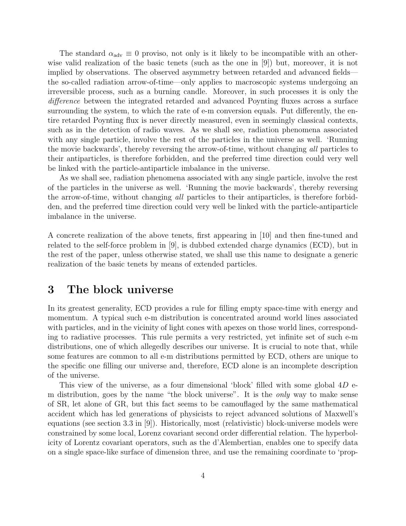The standard  $\alpha_{\text{adv}} \equiv 0$  proviso, not only is it likely to be incompatible with an otherwise valid realization of the basic tenets (such as the one in [9]) but, moreover, it is not implied by observations. The observed asymmetry between retarded and advanced fields the so-called radiation arrow-of-time—only applies to macroscopic systems undergoing an irreversible process, such as a burning candle. Moreover, in such processes it is only the difference between the integrated retarded and advanced Poynting fluxes across a surface surrounding the system, to which the rate of e-m conversion equals. Put differently, the entire retarded Poynting flux is never directly measured, even in seemingly classical contexts, such as in the detection of radio waves. As we shall see, radiation phenomena associated with any single particle, involve the rest of the particles in the universe as well. 'Running the movie backwards', thereby reversing the arrow-of-time, without changing all particles to their antiparticles, is therefore forbidden, and the preferred time direction could very well be linked with the particle-antiparticle imbalance in the universe.

As we shall see, radiation phenomena associated with any single particle, involve the rest of the particles in the universe as well. 'Running the movie backwards', thereby reversing the arrow-of-time, without changing all particles to their antiparticles, is therefore forbidden, and the preferred time direction could very well be linked with the particle-antiparticle imbalance in the universe.

A concrete realization of the above tenets, first appearing in [10] and then fine-tuned and related to the self-force problem in [9], is dubbed extended charge dynamics (ECD), but in the rest of the paper, unless otherwise stated, we shall use this name to designate a generic realization of the basic tenets by means of extended particles.

## 3 The block universe

In its greatest generality, ECD provides a rule for filling empty space-time with energy and momentum. A typical such e-m distribution is concentrated around world lines associated with particles, and in the vicinity of light cones with apexes on those world lines, corresponding to radiative processes. This rule permits a very restricted, yet infinite set of such e-m distributions, one of which allegedly describes our universe. It is crucial to note that, while some features are common to all e-m distributions permitted by ECD, others are unique to the specific one filling our universe and, therefore, ECD alone is an incomplete description of the universe.

This view of the universe, as a four dimensional 'block' filled with some global  $4D$  em distribution, goes by the name "the block universe". It is the only way to make sense of SR, let alone of GR, but this fact seems to be camouflaged by the same mathematical accident which has led generations of physicists to reject advanced solutions of Maxwell's equations (see section 3.3 in [9]). Historically, most (relativistic) block-universe models were constrained by some local, Lorenz covariant second order differential relation. The hyperbolicity of Lorentz covariant operators, such as the d'Alembertian, enables one to specify data on a single space-like surface of dimension three, and use the remaining coordinate to 'prop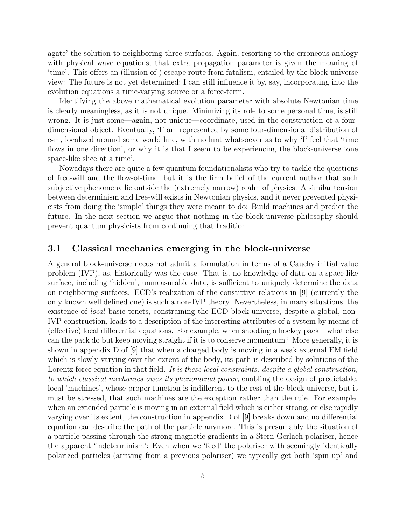agate' the solution to neighboring three-surfaces. Again, resorting to the erroneous analogy with physical wave equations, that extra propagation parameter is given the meaning of 'time'. This offers an (illusion of-) escape route from fatalism, entailed by the block-universe view: The future is not yet determined; I can still influence it by, say, incorporating into the evolution equations a time-varying source or a force-term.

Identifying the above mathematical evolution parameter with absolute Newtonian time is clearly meaningless, as it is not unique. Minimizing its role to some personal time, is still wrong. It is just some—again, not unique—coordinate, used in the construction of a fourdimensional object. Eventually, 'I' am represented by some four-dimensional distribution of e-m, localized around some world line, with no hint whatsoever as to why 'I' feel that 'time flows in one direction', or why it is that I seem to be experiencing the block-universe 'one space-like slice at a time'.

Nowadays there are quite a few quantum foundationalists who try to tackle the questions of free-will and the flow-of-time, but it is the firm belief of the current author that such subjective phenomena lie outside the (extremely narrow) realm of physics. A similar tension between determinism and free-will exists in Newtonian physics, and it never prevented physicists from doing the 'simple' things they were meant to do: Build machines and predict the future. In the next section we argue that nothing in the block-universe philosophy should prevent quantum physicists from continuing that tradition.

#### 3.1 Classical mechanics emerging in the block-universe

A general block-universe needs not admit a formulation in terms of a Cauchy initial value problem (IVP), as, historically was the case. That is, no knowledge of data on a space-like surface, including 'hidden', unmeasurable data, is sufficient to uniquely determine the data on neighboring surfaces. ECD's realization of the constittive relations in [9] (currently the only known well defined one) is such a non-IVP theory. Nevertheless, in many situations, the existence of *local* basic tenets, constraining the ECD block-universe, despite a global, non-IVP construction, leads to a description of the interesting attributes of a system by means of (effective) local differential equations. For example, when shooting a hockey pack—what else can the pack do but keep moving straight if it is to conserve momentum? More generally, it is shown in appendix D of [9] that when a charged body is moving in a weak external EM field which is slowly varying over the extent of the body, its path is described by solutions of the Lorentz force equation in that field. It is these local constraints, despite a global construction, to which classical mechanics owes its phenomenal power, enabling the design of predictable, local 'machines', whose proper function is indifferent to the rest of the block universe, but it must be stressed, that such machines are the exception rather than the rule. For example, when an extended particle is moving in an external field which is either strong, or else rapidly varying over its extent, the construction in appendix D of [9] breaks down and no differential equation can describe the path of the particle anymore. This is presumably the situation of a particle passing through the strong magnetic gradients in a Stern-Gerlach polariser, hence the apparent 'indeterminism': Even when we 'feed' the polariser with seemingly identically polarized particles (arriving from a previous polariser) we typically get both 'spin up' and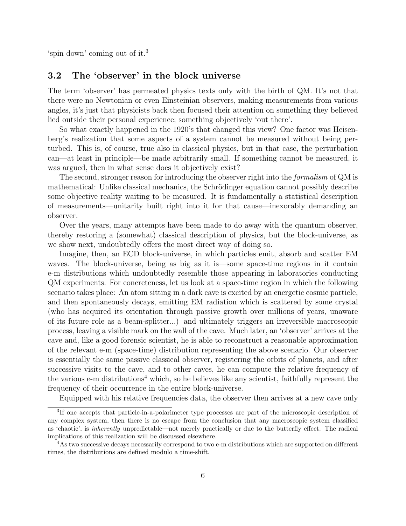'spin down' coming out of it.<sup>3</sup>

### 3.2 The 'observer' in the block universe

The term 'observer' has permeated physics texts only with the birth of QM. It's not that there were no Newtonian or even Einsteinian observers, making measurements from various angles, it's just that physicists back then focused their attention on something they believed lied outside their personal experience; something objectively 'out there'.

So what exactly happened in the 1920's that changed this view? One factor was Heisenberg's realization that some aspects of a system cannot be measured without being perturbed. This is, of course, true also in classical physics, but in that case, the perturbation can—at least in principle—be made arbitrarily small. If something cannot be measured, it was argued, then in what sense does it objectively exist?

The second, stronger reason for introducing the observer right into the *formalism* of QM is mathematical: Unlike classical mechanics, the Schrödinger equation cannot possibly describe some objective reality waiting to be measured. It is fundamentally a statistical description of measurements—unitarity built right into it for that cause—inexorably demanding an observer.

Over the years, many attempts have been made to do away with the quantum observer, thereby restoring a (somewhat) classical description of physics, but the block-universe, as we show next, undoubtedly offers the most direct way of doing so.

Imagine, then, an ECD block-universe, in which particles emit, absorb and scatter EM waves. The block-universe, being as big as it is—some space-time regions in it contain e-m distributions which undoubtedly resemble those appearing in laboratories conducting QM experiments. For concreteness, let us look at a space-time region in which the following scenario takes place: An atom sitting in a dark cave is excited by an energetic cosmic particle, and then spontaneously decays, emitting EM radiation which is scattered by some crystal (who has acquired its orientation through passive growth over millions of years, unaware of its future role as a beam-splitter...) and ultimately triggers an irreversible macroscopic process, leaving a visible mark on the wall of the cave. Much later, an 'observer' arrives at the cave and, like a good forensic scientist, he is able to reconstruct a reasonable approximation of the relevant e-m (space-time) distribution representing the above scenario. Our observer is essentially the same passive classical observer, registering the orbits of planets, and after successive visits to the cave, and to other caves, he can compute the relative frequency of the various e-m distributions<sup>4</sup> which, so he believes like any scientist, faithfully represent the frequency of their occurrence in the entire block-universe.

Equipped with his relative frequencies data, the observer then arrives at a new cave only

<sup>&</sup>lt;sup>3</sup>If one accepts that particle-in-a-polarimeter type processes are part of the microscopic description of any complex system, then there is no escape from the conclusion that any macroscopic system classified as 'chaotic', is inherently unpredictable—not merely practically or due to the butterfly effect. The radical implications of this realization will be discussed elsewhere.

<sup>&</sup>lt;sup>4</sup>As two successive decays necessarily correspond to two e-m distributions which are supported on different times, the distributions are defined modulo a time-shift.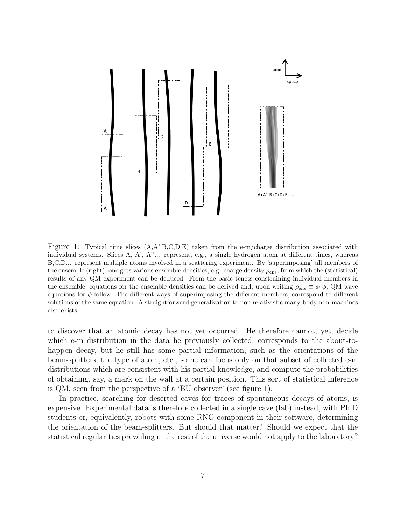

Figure 1: Typical time slices (A,A',B,C,D,E) taken from the e-m/charge distribution associated with individual systems. Slices A, A', A"... represent, e.g., a single hydrogen atom at different times, whereas B,C,D... represent multiple atoms involved in a scattering experiment. By 'superimposing' all members of the ensemble (right), one gets various ensemble densities, e.g. charge density  $\rho_{ens}$ , from which the (statistical) results of any QM experiment can be deduced. From the basic tenets constraining individual members in the ensemble, equations for the ensemble densities can be derived and, upon writing  $\rho_{\rm ens} \equiv \phi^{\dagger} \phi$ , QM wave equations for  $\phi$  follow. The different ways of superimposing the different members, correspond to different solutions of the same equation. A straightforward generalization to non relativistic many-body non-machines also exists.

to discover that an atomic decay has not yet occurred. He therefore cannot, yet, decide which e-m distribution in the data he previously collected, corresponds to the about-tohappen decay, but he still has some partial information, such as the orientations of the beam-splitters, the type of atom, etc., so he can focus only on that subset of collected e-m distributions which are consistent with his partial knowledge, and compute the probabilities of obtaining, say, a mark on the wall at a certain position. This sort of statistical inference is QM, seen from the perspective of a 'BU observer' (see figure 1).

In practice, searching for deserted caves for traces of spontaneous decays of atoms, is expensive. Experimental data is therefore collected in a single cave (lab) instead, with Ph.D students or, equivalently, robots with some RNG component in their software, determining the orientation of the beam-splitters. But should that matter? Should we expect that the statistical regularities prevailing in the rest of the universe would not apply to the laboratory?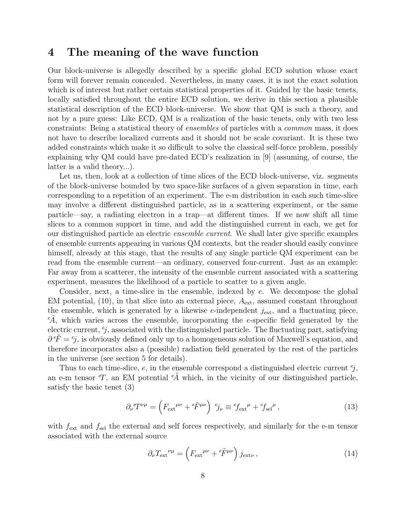## 4 The meaning of the wave function

Our block-universe is allegedly described by a specific global ECD solution whose exact form will forever remain concealed. Nevertheless, in many cases, it is not the exact solution which is of interest but rather certain statistical properties of it. Guided by the basic tenets, locally satisfied throughout the entire ECD solution, we derive in this section a plausible statistical description of the ECD block-universe. We show that QM is such a theory, and not by a pure guess: Like ECD, QM is a realization of the basic tenets, only with two less constraints: Being a statistical theory of ensembles of particles with a common mass, it does not have to describe localized currents and it should not be scale covariant. It is these two added constraints which make it so difficult to solve the classical self-force problem, possibly explaining why QM could have pre-dated ECD's realization in [9] (assuming, of course, the latter is a valid theory...).

Let us, then, look at a collection of time slices of the ECD block-universe, viz. segments of the block-universe bounded by two space-like surfaces of a given separation in time, each corresponding to a repetition of an experiment. The e-m distribution in each such time-slice may involve a different distinguished particle, as in a scattering experiment, or the same particle—say, a radiating electron in a trap—at different times. If we now shift all time slices to a common support in time, and add the distinguished current in each, we get for our distinguished particle an electric ensemble current. We shall later give specific examples of ensemble currents appearing in various QM contexts, but the reader should easily convince himself, already at this stage, that the results of any single particle QM experiment can be read from the ensemble current—an ordinary, conserved four-current. Just as an example: Far away from a scatterer, the intensity of the ensemble current associated with a scattering experiment, measures the likelihood of a particle to scatter to a given angle.

Consider, next, a time-slice in the ensemble, indexed by e. We decompose the global EM potential,  $(10)$ , in that slice into an external piece,  $A_{\text{ext}}$ , assumed constant throughout the ensemble, which is generated by a likewise e-independent  $j_{ext}$ , and a fluctuating piece,  ${}^eA$ , which varies across the ensemble, incorporating the e-specific field generated by the electric current,  $e_j$ , associated with the distinguished particle. The fluctuating part, satisfying  $\partial^e \tilde{F} = g$ , is obviously defined only up to a homogeneous solution of Maxwell's equation, and therefore incorporates also a (possible) radiation field generated by the rest of the particles in the universe (see section 5 for details).

Thus to each time-slice,  $e$ , in the ensemble correspond a distinguished electric current  $e_j$ , an e-m tensor  $T$ , an EM potential  $^eA$  which, in the vicinity of our distinguished particle, satisfy the basic tenet (3)

$$
\partial_{\nu}T^{\nu\mu} = \left(F_{\text{ext}}^{\mu\nu} + {}^e\tilde{F}^{\mu\nu}\right) \, {}^e j_{\nu} \equiv {}^e f_{\text{ext}}^{\mu} + {}^e f_{\text{sel}}^{\mu},\tag{13}
$$

with  $f_{\text{ext}}$  and  $f_{\text{sel}}$  the external and self forces respectively, and similarly for the e-m tensor associated with the external source

$$
\partial_{\nu} T_{\text{ext}}{}^{\nu \mu} = \left( F_{\text{ext}}{}^{\mu \nu} + {}^e \tilde{F}^{\mu \nu} \right) j_{\text{ext}\nu} , \qquad (14)
$$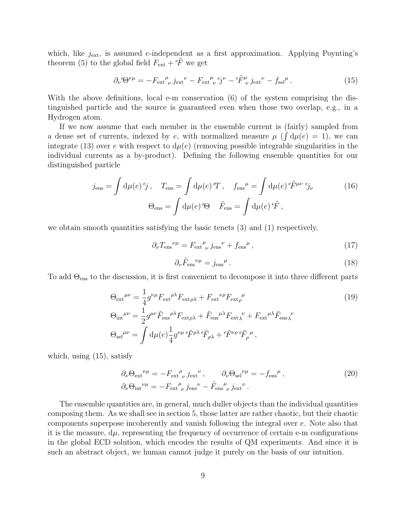which, like  $j_{\text{ext}}$ , is assumed e-independent as a first approximation. Applying Poynting's theorem (5) to the global field  $F_{ext} + {}^e\tilde{F}$  we get

$$
\partial_{\nu} \Theta^{\nu \mu} = -F_{\text{ext}}{}^{\mu}_{\nu} j_{\text{ext}}{}^{\nu} - F_{\text{ext}}{}^{\mu}_{\nu} j^{\nu} - {}^e \tilde{F}^{\mu}_{\nu} j_{\text{ext}}{}^{\nu} - f_{\text{sel}}{}^{\mu}.
$$
\n(15)

With the above definitions, local e-m conservation (6) of the system comprising the distinguished particle and the source is guaranteed even when those two overlap, e.g., in a Hydrogen atom.

If we now assume that each member in the ensemble current is (fairly) sampled from a dense set of currents, indexed by e, with normalized measure  $\mu$  ( $\int d\mu(e) = 1$ ), we can integrate (13) over e with respect to  $d\mu(e)$  (removing possible integrable singularities in the individual currents as a by-product). Defining the following ensemble quantities for our distinguished particle

$$
j_{\text{ens}} = \int d\mu(e) \,^e j \, , \quad T_{\text{ens}} = \int d\mu(e) \,^e T \, , \quad f_{\text{ens}}{}^{\mu} = \int d\mu(e) \,^e \tilde{F}^{\mu\nu} \,^e j_{\nu} \tag{16}
$$
\n
$$
\Theta_{\text{ens}} = \int d\mu(e) \,^e \Theta \, \quad \tilde{F}_{\text{ens}} = \int d\mu(e) \,^e \tilde{F} \, ,
$$

we obtain smooth quantities satisfying the basic tenets (3) and (1) respectively,

$$
\partial_{\nu} T_{\text{ens}}^{\nu\mu} = F_{\text{ext}}^{\mu}{}_{\nu} j_{\text{ens}}^{\nu} + f_{\text{ens}}^{\mu},\tag{17}
$$

$$
\partial_{\nu}\tilde{F}_{\text{ens}}{}^{\nu\mu} = j_{\text{ens}}{}^{\mu} \,. \tag{18}
$$

To add  $\Theta_{\text{ens}}$  to the discussion, it is first convenient to decompose it into three different parts

$$
\Theta_{\text{ext}}^{\mu\nu} = \frac{1}{4} g^{\nu\mu} F_{\text{ext}}^{\ \rho\lambda} F_{\text{ext}\rho\lambda} + F_{\text{ext}}^{\ \nu\rho} F_{\text{ext}\rho}^{\ \mu}
$$
\n
$$
\Theta_{\text{int}}^{\mu\nu} = \frac{1}{2} g^{\mu\nu} \tilde{F}_{\text{ens}}^{\ \rho\lambda} F_{\text{ext}\rho\lambda} + \tilde{F}_{\text{ens}}^{\ \mu\lambda} F_{\text{ext}\lambda}^{\ \nu} + F_{\text{ext}}^{\ \mu\lambda} \tilde{F}_{\text{ens}\lambda}^{\ \nu}
$$
\n
$$
\Theta_{\text{sel}}^{\mu\nu} = \int d\mu (e) \frac{1}{4} g^{\nu\mu} e \tilde{F}^{\rho\lambda} e \tilde{F}_{\rho\lambda} + e \tilde{F}^{\nu\rho} e \tilde{F}_{\rho}^{\ \mu},
$$
\n(19)

which, using (15), satisfy

$$
\partial_{\nu} \Theta_{\text{ext}}{}^{\nu \mu} = -F_{\text{ext}}{}^{\mu}{}_{\nu} j_{\text{ext}}{}^{\nu}, \qquad \partial_{\nu} \Theta_{\text{sel}}{}^{\nu \mu} = -f_{\text{ens}}{}^{\mu}, \n\partial_{\nu} \Theta_{\text{int}}{}^{\nu \mu} = -F_{\text{ext}}{}^{\mu}{}_{\nu} j_{\text{ens}}{}^{\nu} - \tilde{F}_{\text{ens}}{}^{\mu}{}_{\nu} j_{\text{ext}}{}^{\nu}.
$$
\n(20)

The ensemble quantities are, in general, much duller objects than the individual quantities composing them. As we shall see in section 5, those latter are rather chaotic, but their chaotic components superpose incoherently and vanish following the integral over e. Note also that it is the measure,  $d\mu$ , representing the frequency of occurrence of certain e-m configurations in the global ECD solution, which encodes the results of QM experiments. And since it is such an abstract object, we human cannot judge it purely on the basis of our intuition.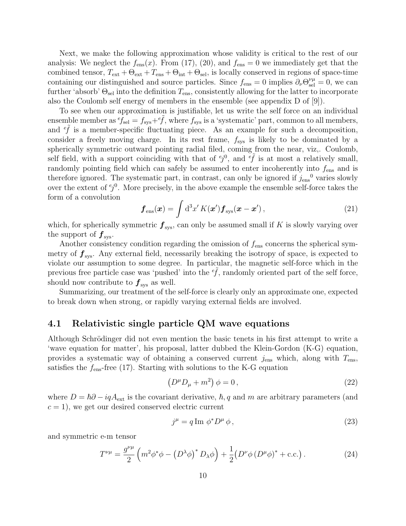Next, we make the following approximation whose validity is critical to the rest of our analysis: We neglect the  $f_{\text{ens}}(x)$ . From (17), (20), and  $f_{\text{ens}} = 0$  we immediately get that the combined tensor,  $T_{ext} + \Theta_{ext} + T_{ens} + \Theta_{int} + \Theta_{sel}$ , is locally conserved in regions of space-time containing our distinguished and source particles. Since  $f_{\text{ens}} = 0$  implies  $\partial_{\nu} \Theta_{\text{sel}}^{\nu \mu} = 0$ , we can further 'absorb'  $\Theta_{\text{sel}}$  into the definition  $T_{\text{ens}}$ , consistently allowing for the latter to incorporate also the Coulomb self energy of members in the ensemble (see appendix D of [9]).

To see when our approximation is justifiable, let us write the self force on an individual ensemble member as  ${}^e\! f_{\rm sel} = f_{\rm sys} + {}^e\! \tilde{f}$ , where  $f_{\rm sys}$  is a 'systematic' part, common to all members, and  $\epsilon \tilde{f}$  is a member-specific fluctuating piece. As an example for such a decomposition, consider a freely moving charge. In its rest frame,  $f_{sys}$  is likely to be dominated by a spherically symmetric outward pointing radial filed, coming from the near, viz,. Coulomb, self field, with a support coinciding with that of  ${}^e j^0$ , and  ${}^e \tilde{f}$  is at most a relatively small, randomly pointing field which can safely be assumed to enter incoherently into  $f_{\text{ens}}$  and is therefore ignored. The systematic part, in contrast, can only be ignored if  $j_{\text{ens}}^0$  varies slowly over the extent of  ${}^e j^0$ . More precisely, in the above example the ensemble self-force takes the form of a convolution

$$
\boldsymbol{f}_{\text{ens}}(\boldsymbol{x}) = \int d^3 x' K(\boldsymbol{x}') \boldsymbol{f}_{\text{sys}}(\boldsymbol{x} - \boldsymbol{x}'), \qquad (21)
$$

which, for spherically symmetric  $f_{\text{sys}}$ , can only be assumed small if K is slowly varying over the support of  $f_{\rm sys}$ .

Another consistency condition regarding the omission of  $f_{\text{ens}}$  concerns the spherical symmetry of  $f_{\text{sys}}$ . Any external field, necessarily breaking the isotropy of space, is expected to violate our assumption to some degree. In particular, the magnetic self-force which in the previous free particle case was 'pushed' into the  $\epsilon \tilde{f}$ , randomly oriented part of the self force, should now contribute to  $f_{\rm sys}$  as well.

Summarizing, our treatment of the self-force is clearly only an approximate one, expected to break down when strong, or rapidly varying external fields are involved.

### 4.1 Relativistic single particle QM wave equations

Although Schrödinger did not even mention the basic tenets in his first attempt to write a 'wave equation for matter', his proposal, latter dubbed the Klein-Gordon (K-G) equation, provides a systematic way of obtaining a conserved current  $j_{\text{ens}}$  which, along with  $T_{\text{ens}}$ , satisfies the  $f_{\text{ens}}$ -free (17). Starting with solutions to the K-G equation

$$
\left(D^{\mu}D_{\mu} + m^2\right)\phi = 0, \qquad (22)
$$

where  $D = \hbar \partial - i q A_{\text{ext}}$  is the covariant derivative,  $\hbar$ , q and m are arbitrary parameters (and  $c = 1$ , we get our desired conserved electric current

$$
j^{\mu} = q \operatorname{Im} \phi^* D^{\mu} \phi, \qquad (23)
$$

and symmetric e-m tensor

$$
T^{\nu\mu} = \frac{g^{\nu\mu}}{2} \left( m^2 \phi^* \phi - \left( D^\lambda \phi \right)^* D_\lambda \phi \right) + \frac{1}{2} \left( D^\nu \phi \left( D^\mu \phi \right)^* + \text{c.c.} \right). \tag{24}
$$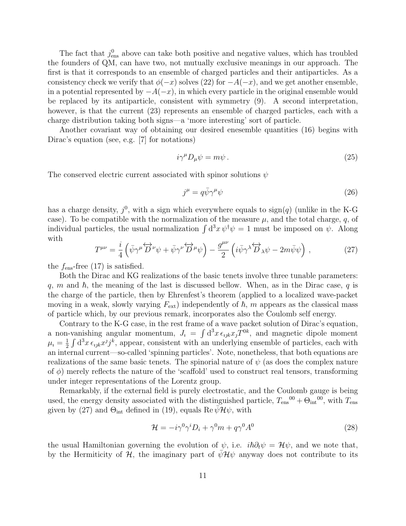The fact that  $j_{\text{ens}}^0$  above can take both positive and negative values, which has troubled the founders of QM, can have two, not mutually exclusive meanings in our approach. The first is that it corresponds to an ensemble of charged particles and their antiparticles. As a consistency check we verify that  $\phi(-x)$  solves (22) for  $-A(-x)$ , and we get another ensemble, in a potential represented by  $-A(-x)$ , in which every particle in the original ensemble would be replaced by its antiparticle, consistent with symmetry (9). A second interpretation, however, is that the current (23) represents an ensemble of charged particles, each with a charge distribution taking both signs—a 'more interesting' sort of particle.

Another covariant way of obtaining our desired enesemble quantities (16) begins with Dirac's equation (see, e.g. [7] for notations)

$$
i\gamma^{\mu}D_{\mu}\psi = m\psi. \tag{25}
$$

The conserved electric current associated with spinor solutions  $\psi$ 

$$
j^{\mu} = q\bar{\psi}\gamma^{\mu}\psi\tag{26}
$$

has a charge density,  $j^0$ , with a sign which everywhere equals to  $sign(q)$  (unlike in the K-G case). To be compatible with the normalization of the measure  $\mu$ , and the total charge, q, of individual particles, the usual normalization  $\int d^3x \psi^{\dagger} \psi = 1$  must be imposed on  $\psi$ . Along with

$$
T^{\mu\nu} = \frac{i}{4} \left( \bar{\psi} \gamma^{\mu} \overleftrightarrow{D}^{\nu} \psi + \bar{\psi} \gamma^{\nu} \overleftrightarrow{D}^{\mu} \psi \right) - \frac{g^{\mu\nu}}{2} \left( i \bar{\psi} \gamma^{\lambda} \overleftrightarrow{D}_{\lambda} \psi - 2m \bar{\psi} \psi \right) , \qquad (27)
$$

the  $f_{\text{ens}}$ -free (17) is satisfied.

Both the Dirac and KG realizations of the basic tenets involve three tunable parameters: q, m and  $\hbar$ , the meaning of the last is discussed bellow. When, as in the Dirac case, q is the charge of the particle, then by Ehrenfest's theorem (applied to a localized wave-packet moving in a weak, slowly varying  $F_{ext}$ ) independently of  $\hbar$ , m appears as the classical mass of particle which, by our previous remark, incorporates also the Coulomb self energy.

Contrary to the K-G case, in the rest frame of a wave packet solution of Dirac's equation, a non-vanishing angular momentum,  $J_i = \int d^3x \epsilon_{ijk} x_j T^{0k}$ , and magnetic dipole moment  $\mu_i = \frac{1}{2}$  $\frac{1}{2} \int d^3x \,\epsilon_{ijk}x^j j^k$ , appear, consistent with an underlying ensemble of particles, each with an internal current—so-called 'spinning particles'. Note, nonetheless, that both equations are realizations of the same basic tenets. The spinorial nature of  $\psi$  (as does the complex nature of  $\phi$ ) merely reflects the nature of the 'scaffold' used to construct real tensors, transforming under integer representations of the Lorentz group.

Remarkably, if the external field is purely electrostatic, and the Coulomb gauge is being used, the energy density associated with the distinguished particle,  $T_{\text{ens}}^{00} + \Theta_{\text{int}}^{00}$ , with  $T_{\text{ens}}$ given by (27) and  $\Theta_{\text{int}}$  defined in (19), equals Re  $\psi \mathcal{H} \psi$ , with

$$
\mathcal{H} = -i\gamma^0 \gamma^i D_i + \gamma^0 m + q\gamma^0 A^0 \tag{28}
$$

the usual Hamiltonian governing the evolution of  $\psi$ , i.e.  $i\hbar \partial_t \psi = \mathcal{H}\psi$ , and we note that, by the Hermiticity of  $\mathcal{H}$ , the imaginary part of  $\psi \mathcal{H} \psi$  anyway does not contribute to its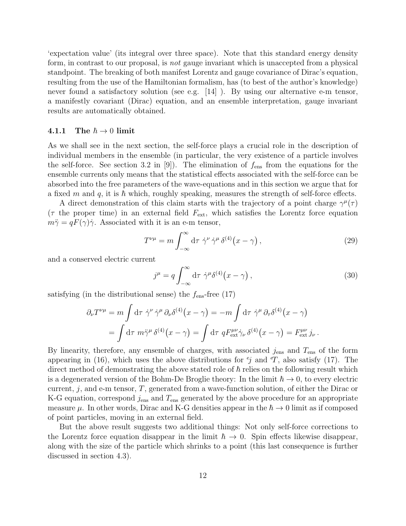'expectation value' (its integral over three space). Note that this standard energy density form, in contrast to our proposal, is not gauge invariant which is unaccepted from a physical standpoint. The breaking of both manifest Lorentz and gauge covariance of Dirac's equation, resulting from the use of the Hamiltonian formalism, has (to best of the author's knowledge) never found a satisfactory solution (see e.g.  $[14]$ ). By using our alternative e-m tensor, a manifestly covariant (Dirac) equation, and an ensemble interpretation, gauge invariant results are automatically obtained.

#### 4.1.1 The  $\hbar \rightarrow 0$  limit

As we shall see in the next section, the self-force plays a crucial role in the description of individual members in the ensemble (in particular, the very existence of a particle involves the self-force. See section 3.2 in [9]). The elimination of  $f_{\text{ens}}$  from the equations for the ensemble currents only means that the statistical effects associated with the self-force can be absorbed into the free parameters of the wave-equations and in this section we argue that for a fixed m and q, it is  $\hbar$  which, roughly speaking, measures the strength of self-force effects.

A direct demonstration of this claim starts with the trajectory of a point charge  $\gamma^{\mu}(\tau)$ ( $\tau$  the proper time) in an external field  $F_{\text{ext}}$ , which satisfies the Lorentz force equation  $m\ddot{\gamma} = qF(\gamma)\dot{\gamma}$ . Associated with it is an e-m tensor,

$$
T^{\nu\mu} = m \int_{-\infty}^{\infty} d\tau \ \dot{\gamma}^{\nu} \ \dot{\gamma}^{\mu} \ \delta^{(4)}(x - \gamma) \ , \tag{29}
$$

and a conserved electric current

$$
j^{\mu} = q \int_{-\infty}^{\infty} d\tau \ \dot{\gamma}^{\mu} \delta^{(4)}(x - \gamma) , \qquad (30)
$$

satisfying (in the distributional sense) the  $f_{\text{ens}}$ -free (17)

$$
\partial_{\nu}T^{\nu\mu} = m \int d\tau \ \dot{\gamma}^{\nu} \dot{\gamma}^{\mu} \partial_{\nu} \delta^{(4)}(x - \gamma) = -m \int d\tau \ \dot{\gamma}^{\mu} \partial_{\tau} \delta^{(4)}(x - \gamma)
$$
  
= 
$$
\int d\tau \ m \ddot{\gamma}^{\mu} \delta^{(4)}(x - \gamma) = \int d\tau \ q F_{\text{ext}}^{\mu\nu} \dot{\gamma}_{\nu} \delta^{(4)}(x - \gamma) = F_{\text{ext}}^{\mu\nu} j_{\nu}.
$$

By linearity, therefore, any ensemble of charges, with associated  $j_{\text{ens}}$  and  $T_{\text{ens}}$  of the form appearing in (16), which uses the above distributions for  $\epsilon_j$  and  $\tau$ , also satisfy (17). The direct method of demonstrating the above stated role of  $\hbar$  relies on the following result which is a degenerated version of the Bohm-De Broglie theory: In the limit  $\hbar \to 0$ , to every electric current, j, and e-m tensor,  $T$ , generated from a wave-function solution, of either the Dirac or K-G equation, correspond  $j_{\text{ens}}$  and  $T_{\text{ens}}$  generated by the above procedure for an appropriate measure  $\mu$ . In other words, Dirac and K-G densities appear in the  $\hbar \to 0$  limit as if composed of point particles, moving in an external field.

But the above result suggests two additional things: Not only self-force corrections to the Lorentz force equation disappear in the limit  $\hbar \to 0$ . Spin effects likewise disappear, along with the size of the particle which shrinks to a point (this last consequence is further discussed in section 4.3).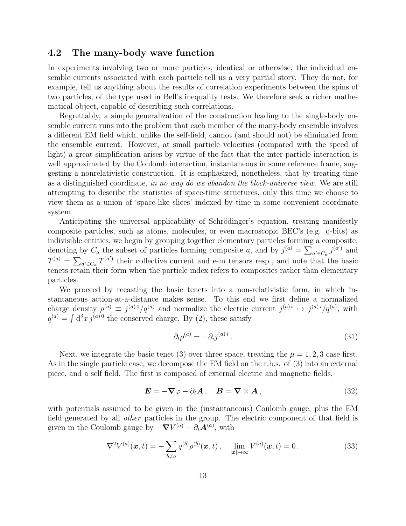### 4.2 The many-body wave function

In experiments involving two or more particles, identical or otherwise, the individual ensemble currents associated with each particle tell us a very partial story. They do not, for example, tell us anything about the results of correlation experiments between the spins of two particles, of the type used in Bell's inequality tests. We therefore seek a richer mathematical object, capable of describing such correlations.

Regrettably, a simple generalization of the construction leading to the single-body ensemble current runs into the problem that each member of the many-body ensemble involves a different EM field which, unlike the self-field, cannot (and should not) be eliminated from the ensemble current. However, at small particle velocities (compared with the speed of light) a great simplification arises by virtue of the fact that the inter-particle interaction is well approximated by the Coulomb interaction, instantaneous in some reference frame, suggesting a nonrelativistic construction. It is emphasized, nonetheless, that by treating time as a distinguished coordinate, in no way do we abandon the block-universe view. We are still attempting to describe the statistics of space-time structures, only this time we choose to view them as a union of 'space-like slices' indexed by time in some convenient coordinate system.

Anticipating the universal applicability of Schrödinger's equation, treating manifestly composite particles, such as atoms, molecules, or even macroscopic BEC's (e.g. q-bits) as indivisible entities, we begin by grouping together elementary particles forming a composite, denoting by  $C_a$  the subset of particles forming composite a, and by  $j^{(a)} = \sum_{a' \in C_a} j^{(a')}$  and  $T^{(a)} = \sum_{a' \in C_a} T^{(a')}$  their collective current and e-m tensors resp., and note that the basic tenets retain their form when the particle index refers to composites rather than elementary particles.

We proceed by recasting the basic tenets into a non-relativistic form, in which instantaneous action-at-a-distance makes sense. To this end we first define a normalized charge density  $\rho^{(a)} \equiv j^{(a)0}/q^{(a)}$  and normalize the electric current  $j^{(a)i} \mapsto j^{(a)i}/q^{(a)}$ , with  $q^{(a)} = \int d^3x \, j^{(a) \, 0}$  the conserved charge. By (2), these satisfy

$$
\partial_t \rho^{(a)} = -\partial_i j^{(a)i} \,. \tag{31}
$$

Next, we integrate the basic tenet (3) over three space, treating the  $\mu = 1, 2, 3$  case first. As in the single particle case, we decompose the EM field on the r.h.s. of (3) into an external piece, and a self field. The first is composed of external electric and magnetic fields,

$$
\mathbf{E} = -\nabla \varphi - \partial_t \mathbf{A}, \quad \mathbf{B} = \nabla \times \mathbf{A}, \tag{32}
$$

with potentials assumed to be given in the (instantaneous) Coulomb gauge, plus the EM field generated by all other particles in the group. The electric component of that field is given in the Coulomb gauge by  $-\nabla V^{(a)} - \partial_t \mathbf{A}^{(a)}$ , with

$$
\nabla^2 V^{(a)}(\boldsymbol{x}, t) = -\sum_{b \neq a} q^{(b)} \rho^{(b)}(\boldsymbol{x}, t) , \quad \lim_{|\boldsymbol{x}| \to \infty} V^{(a)}(\boldsymbol{x}, t) = 0.
$$
 (33)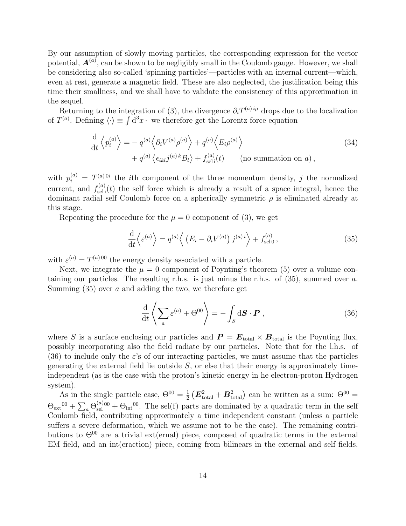By our assumption of slowly moving particles, the corresponding expression for the vector potential,  $\boldsymbol{A}^{(a)}$ , can be shown to be negligibly small in the Coulomb gauge. However, we shall be considering also so-called 'spinning particles'—particles with an internal current—which, even at rest, generate a magnetic field. These are also neglected, the justification being this time their smallness, and we shall have to validate the consistency of this approximation in the sequel.

Returning to the integration of (3), the divergence  $\partial_i T^{(a)i\mu}$  drops due to the localization of  $T^{(a)}$ . Defining  $\langle \cdot \rangle \equiv \int d^3x \cdot$  we therefore get the Lorentz force equation

$$
\frac{\mathrm{d}}{\mathrm{d}t} \left\langle p_i^{(a)} \right\rangle = -q^{(a)} \left\langle \partial_i V^{(a)} \rho^{(a)} \right\rangle + q^{(a)} \left\langle E_i \rho^{(a)} \right\rangle \n+ q^{(a)} \left\langle \epsilon_{ikl} j^{(a) k} B_l \right\rangle + f_{\text{seli}}^{(a)}(t) \qquad \text{(no summation on } a\text{)},
$$
\n(34)

with  $p_i^{(a)} = T^{(a)}$  the *i*th component of the three momentum density, j the normalized current, and  $f_{\text{self}}^{(a)}(t)$  the self force which is already a result of a space integral, hence the dominant radial self Coulomb force on a spherically symmetric  $\rho$  is eliminated already at this stage.

Repeating the procedure for the  $\mu = 0$  component of (3), we get

$$
\frac{\mathrm{d}}{\mathrm{d}t}\left\langle \varepsilon^{(a)} \right\rangle = q^{(a)} \left\langle \left( E_i - \partial_i V^{(a)} \right) j^{(a)}{}^i \right\rangle + f^{(a)}_{\text{sel}\,0},\tag{35}
$$

with  $\varepsilon^{(a)} = T^{(a) 00}$  the energy density associated with a particle.

Next, we integrate the  $\mu = 0$  component of Poynting's theorem (5) over a volume containing our particles. The resulting r.h.s. is just minus the r.h.s. of (35), summed over a. Summing  $(35)$  over a and adding the two, we therefore get

$$
\frac{\mathrm{d}}{\mathrm{d}t}\left\langle \sum_{a}\varepsilon^{(a)} + \Theta^{00} \right\rangle = -\int_{S} \mathrm{d}\mathbf{S} \cdot \mathbf{P} , \qquad (36)
$$

where S is a surface enclosing our particles and  $P = E_{total} \times B_{total}$  is the Poynting flux, possibly incorporating also the field radiate by our particles. Note that for the l.h.s. of (36) to include only the  $\varepsilon$ 's of our interacting particles, we must assume that the particles generating the external field lie outside  $S$ , or else that their energy is approximately timeindependent (as is the case with the proton's kinetic energy in he electron-proton Hydrogen system).

As in the single particle case,  $\Theta^{00} = \frac{1}{2}$  $\frac{1}{2} \left( \boldsymbol{E}_{\text{total}}^2 + \boldsymbol{B}_{\text{total}}^2 \right)$  can be written as a sum:  $\Theta^{00} =$  $\Theta_{\rm ext}{}^{00} + \sum_a \Theta_{\rm sel}^{(a)}$  $\frac{a_{000}}{s_{\text{rel}}} + \Theta_{\text{int}}^{0.00}$ . The self parts are dominated by a quadratic term in the self Coulomb field, contributing approximately a time independent constant (unless a particle suffers a severe deformation, which we assume not to be the case). The remaining contributions to  $\Theta^{00}$  are a trivial ext(ernal) piece, composed of quadratic terms in the external EM field, and an int(eraction) piece, coming from bilinears in the external and self fields.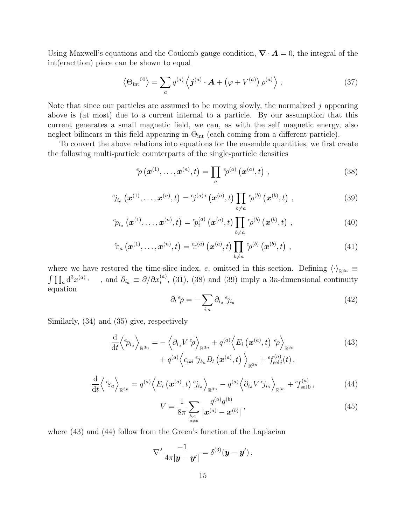Using Maxwell's equations and the Coulomb gauge condition,  $\nabla \cdot \mathbf{A} = 0$ , the integral of the int(eracttion) piece can be shown to equal

$$
\langle \Theta_{\text{int}}^{00} \rangle = \sum_{a} q^{(a)} \langle \boldsymbol{j}^{(a)} \cdot \boldsymbol{A} + (\varphi + V^{(a)}) \rho^{(a)} \rangle . \qquad (37)
$$

Note that since our particles are assumed to be moving slowly, the normalized  $j$  appearing above is (at most) due to a current internal to a particle. By our assumption that this current generates a small magnetic field, we can, as with the self magnetic energy, also neglect bilinears in this field appearing in  $\Theta_{\text{int}}$  (each coming from a different particle).

To convert the above relations into equations for the ensemble quantities, we first create the following multi-particle counterparts of the single-particle densities

$$
{}^{e}\rho\left(\boldsymbol{x}^{(1)},\ldots,\boldsymbol{x}^{(n)},t\right) = \prod_{a} {}^{e}\rho^{(a)}\left(\boldsymbol{x}^{(a)},t\right) , \qquad (38)
$$

$$
e_{j_{i_a}}(\boldsymbol{x}^{(1)},\ldots,\boldsymbol{x}^{(n)},t)=e_j^{(a)i}(\boldsymbol{x}^{(a)},t)\prod_{b\neq a}e_j^{(b)}(\boldsymbol{x}^{(b)},t) ,
$$
 (39)

$$
e_{p_{i_a}}(\boldsymbol{x}^{(1)},\ldots,\boldsymbol{x}^{(n)},t)=e_{p_i}^{(a)}(\boldsymbol{x}^{(a)},t)\prod_{b\neq a}e_{p_i}^{(b)}(\boldsymbol{x}^{(b)},t), \qquad (40)
$$

$$
e_{\varepsilon_a}\left(\boldsymbol{x}^{(1)},\ldots,\boldsymbol{x}^{(n)},t\right) = e_{\varepsilon}^{(a)}\left(\boldsymbol{x}^{(a)},t\right)\prod_{b\neq a}e_{\rho}^{(b)}\left(\boldsymbol{x}^{(b)},t\right),\tag{41}
$$

where we have restored the time-slice index, e, omitted in this section. Defining  $\langle \cdot \rangle_{\mathbb{R}^{3n}} \equiv$  $\int \prod_a d^3x^{(a)}$ , and  $\partial_{i_a} \equiv \partial/\partial x^{(a)}_i$ , (31), (38) and (39) imply a 3*n*-dimensional continuity equation

$$
\partial_t e^{\rho} = -\sum_{i,a} \partial_{i_a} e_{j_{i_a}} \tag{42}
$$

Similarly, (34) and (35) give, respectively

$$
\frac{\mathrm{d}}{\mathrm{d}t} \left\langle e_{\mu_a} \right\rangle_{\mathbb{R}^{3n}} = - \left\langle \partial_{i_a} V^e \rho \right\rangle_{\mathbb{R}^{3n}} + q^{(a)} \left\langle E_i \left( \boldsymbol{x}^{(a)}, t \right) \right\rangle_{\mathbb{R}^{3n}} + q^{(a)} \left\langle \epsilon_{ikl} \right\rangle_{k_a} B_l \left( \boldsymbol{x}^{(a)}, t \right) \right\rangle_{\mathbb{R}^{3n}} + \mathcal{E}_{\text{sel } i}^{(a)}(t) ,
$$
\n(43)

$$
\frac{\mathrm{d}}{\mathrm{d}t} \left\langle \varepsilon_a \right\rangle_{\mathbb{R}^{3n}} = q^{(a)} \left\langle E_i \left( \boldsymbol{x}^{(a)}, t \right) \varepsilon_{j_{i_a}} \right\rangle_{\mathbb{R}^{3n}} - q^{(a)} \left\langle \partial_{i_a} V \varepsilon_{j_{i_a}} \right\rangle_{\mathbb{R}^{3n}} + \varepsilon_{\text{sel } 0}^{(a)}, \tag{44}
$$

$$
V = \frac{1}{8\pi} \sum_{\substack{b,a\\a\neq b}} \frac{q^{(a)}q^{(b)}}{|\mathbf{x}^{(a)} - \mathbf{x}^{(b)}|},
$$
\n(45)

where  $(43)$  and  $(44)$  follow from the Green's function of the Laplacian

$$
\nabla^2 \frac{-1}{4\pi |\boldsymbol{y}-\boldsymbol{y}'|} = \delta^{(3)}(\boldsymbol{y}-\boldsymbol{y}').
$$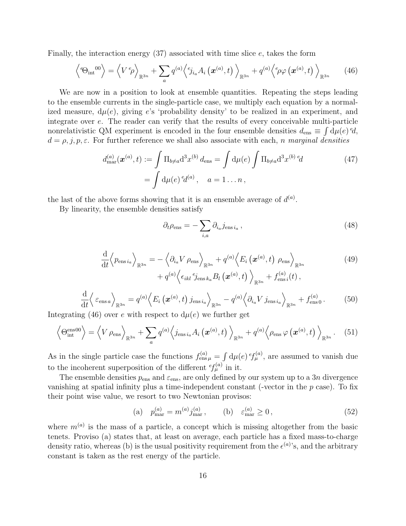Finally, the interaction energy (37) associated with time slice e, takes the form

$$
\left\langle \mathcal{E}_{\text{int}}^{00} \right\rangle = \left\langle V^e \rho \right\rangle_{\mathbb{R}^{3n}} + \sum_{a} q^{(a)} \left\langle \mathcal{E}_{j_{a}} A_{i} \left( \boldsymbol{x}^{(a)}, t \right) \right\rangle_{\mathbb{R}^{3n}} + q^{(a)} \left\langle \mathcal{E}_{\rho \varphi} \left( \boldsymbol{x}^{(a)}, t \right) \right\rangle_{\mathbb{R}^{3n}} \tag{46}
$$

We are now in a position to look at ensemble quantities. Repeating the steps leading to the ensemble currents in the single-particle case, we multiply each equation by a normalized measure,  $d\mu(e)$ , giving e's 'probability density' to be realized in an experiment, and integrate over e. The reader can verify that the results of every conceivable multi-particle nonrelativistic QM experiment is encoded in the four ensemble densities  $d_{\text{ens}} \equiv \int d\mu(e) \,^e d$ ,  $d = \rho, j, p, \varepsilon$ . For further reference we shall also associate with each, n marginal densities

$$
d_{\text{mar}}^{(a)}(\boldsymbol{x}^{(a)},t) := \int \Pi_{b \neq a} d^3 x^{(b)} d_{\text{ens}} = \int d\mu(e) \int \Pi_{b \neq a} d^3 x^{(b)} d^{3}
$$
  
= 
$$
\int d\mu(e) d^{(a)}, \quad a = 1 ... n,
$$
 (47)

the last of the above forms showing that it is an ensemble average of  $d^{(a)}$ .

By linearity, the ensemble densities satisfy

$$
\partial_t \rho_{\rm ens} = -\sum_{i,a} \partial_{i_a} j_{\rm ens\,i_a} \,, \tag{48}
$$

$$
\frac{\mathrm{d}}{\mathrm{d}t} \left\langle p_{\mathrm{ens}\,i_a} \right\rangle_{\mathbb{R}^{3n}} = -\left\langle \partial_{i_a} V \, \rho_{\mathrm{ens}} \right\rangle_{\mathbb{R}^{3n}} + q^{(a)} \left\langle E_i \left( \boldsymbol{x}^{(a)}, t \right) \, \rho_{\mathrm{ens}} \right\rangle_{\mathbb{R}^{3n}} + q^{(a)} \left\langle \epsilon_{ikl} \, \epsilon_{j\mathrm{ens}\,k_a} B_l \left( \boldsymbol{x}^{(a)}, t \right) \right\rangle_{\mathbb{R}^{3n}} + f_{\mathrm{ens}\,i}^{(a)}(t) ,
$$
\n(49)

$$
\frac{\mathrm{d}}{\mathrm{d}t} \left\langle \varepsilon_{\mathrm{ens}\,a} \right\rangle_{\mathbb{R}^{3n}} = q^{(a)} \left\langle E_i \left( \boldsymbol{x}^{(a)}, t \right) j_{\mathrm{ens}\,i_a} \right\rangle_{\mathbb{R}^{3n}} - q^{(a)} \left\langle \partial_{i_a} V j_{\mathrm{ens}\,i_a} \right\rangle_{\mathbb{R}^{3n}} + f_{\mathrm{ens}\,0}^{(a)} \,. \tag{50}
$$

Integrating (46) over e with respect to  $d\mu(e)$  we further get

$$
\left\langle \Theta_{\text{int}}^{\text{ens00}} \right\rangle = \left\langle V \rho_{\text{ens}} \right\rangle_{\mathbb{R}^{3n}} + \sum_{a} q^{(a)} \left\langle j_{\text{ens }i_a} A_i \left( \boldsymbol{x}^{(a)}, t \right) \right\rangle_{\mathbb{R}^{3n}} + q^{(a)} \left\langle \rho_{\text{ens }} \varphi \left( \boldsymbol{x}^{(a)}, t \right) \right\rangle_{\mathbb{R}^{3n}}. \tag{51}
$$

As in the single particle case the functions  $f_{\text{ens}\mu}^{(a)} = \int d\mu(e) e^{i\pi} f_{\mu}^{(a)}$ , are assumed to vanish due to the incoherent superposition of the different  ${}^e f_{\mu}^{(a)}$  in it.

The ensemble densities  $p_{\text{ens}}$  and  $\varepsilon_{\text{ens}}$ , are only defined by our system up to a 3n divergence vanishing at spatial infinity plus a time-independent constant (-vector in the  $p$  case). To fix their point wise value, we resort to two Newtonian provisos:

(a) 
$$
p_{\text{mar}}^{(a)} = m^{(a)} j_{\text{mar}}^{(a)},
$$
 (b)  $\varepsilon_{\text{mar}}^{(a)} \ge 0,$  (52)

where  $m^{(a)}$  is the mass of a particle, a concept which is missing altogether from the basic tenets. Proviso (a) states that, at least on average, each particle has a fixed mass-to-charge density ratio, whereas (b) is the usual positivity requirement from the  $\epsilon^{(a)}$ 's, and the arbitrary constant is taken as the rest energy of the particle.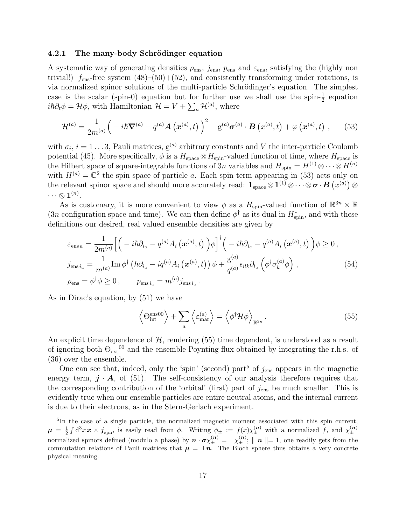#### 4.2.1 The many-body Schrödinger equation

A systematic way of generating densities  $\rho_{\text{ens}}$ ,  $j_{\text{ens}}$ ,  $p_{\text{ens}}$  and  $\varepsilon_{\text{ens}}$ , satisfying the (highly non trivial!)  $f_{\text{ens}}$ -free system  $(48)$ – $(50)$ + $(52)$ , and consistently transforming under rotations, is via normalized spinor solutions of the multi-particle Schrödinger's equation. The simplest case is the scalar (spin-0) equation but for further use we shall use the spin- $\frac{1}{2}$  equation  $i\hbar\partial_t\phi = \mathcal{H}\phi$ , with Hamiltonian  $\mathcal{H} = V + \sum_a \mathcal{H}^{(a)}$ , where

$$
\mathcal{H}^{(a)} = \frac{1}{2m^{(a)}} \Big( -i\hbar \boldsymbol{\nabla}^{(a)} - q^{(a)} \boldsymbol{A} \left( \boldsymbol{x}^{(a)}, t \right) \Big)^2 + g^{(a)} \boldsymbol{\sigma}^{(a)} \cdot \boldsymbol{B} \left( x^{(a)}, t \right) + \varphi \left( \boldsymbol{x}^{(a)}, t \right) ,\qquad (53)
$$

with  $\sigma_i$ ,  $i = 1...3$ , Pauli matrices,  $g^{(a)}$  arbitrary constants and V the inter-particle Coulomb potential (45). More specifically,  $\phi$  is a  $H_{\text{space}} \otimes H_{\text{spin}}$ -valued function of time, where  $H_{\text{space}}$  is the Hilbert space of square-integrable functions of 3n variables and  $H_{spin} = H^{(1)} \otimes \cdots \otimes H^{(n)}$ with  $H^{(a)} = \mathbb{C}^2$  the spin space of particle a. Each spin term appearing in (53) acts only on the relevant spinor space and should more accurately read:  $\mathbf{1}_{\text{space}} \otimes \mathbf{1}^{(1)} \otimes \cdots \otimes \boldsymbol{\sigma} \cdot \boldsymbol{B}\left(x^{(a)}\right) \otimes$  $\cdots \otimes 1^{(n)}.$ 

As is customary, it is more convenient to view  $\phi$  as a  $H_{\text{spin}}$ -valued function of  $\mathbb{R}^{3n} \times \mathbb{R}$ (3n configuration space and time). We can then define  $\phi^{\dagger}$  as its dual in  $H^*_{\text{spin}}$ , and with these definitions our desired, real valued ensemble densities are given by

$$
\varepsilon_{\text{ens }a} = \frac{1}{2m^{(a)}} \Big[ \Big( -i\hbar \partial_{i_a} - q^{(a)} A_i \left( \boldsymbol{x}^{(a)}, t \right) \Big) \phi \Big]^{\dagger} \Big( -i\hbar \partial_{i_a} - q^{(a)} A_i \left( \boldsymbol{x}^{(a)}, t \right) \Big) \phi \ge 0 ,
$$
  
\n
$$
j_{\text{ens }i_a} = \frac{1}{m^{(a)}} \text{Im } \phi^{\dagger} \left( \hbar \partial_{i_a} - i q^{(a)} A_i \left( \boldsymbol{x}^{(a)}, t \right) \right) \phi + \frac{g^{(a)}}{q^{(a)}} \epsilon_{ilk} \partial_{l_a} \left( \phi^{\dagger} \sigma_k^{(a)} \phi \right) ,
$$
  
\n
$$
\rho_{\text{ens }} = \phi^{\dagger} \phi \ge 0 , \qquad p_{\text{ens }i_a} = m^{(a)} j_{\text{ens }i_a} .
$$
\n(54)

As in Dirac's equation, by (51) we have

$$
\left\langle \Theta_{\text{int}}^{\text{ens00}} \right\rangle + \sum_{a} \left\langle \varepsilon_{\text{mar}}^{(a)} \right\rangle = \left\langle \phi^{\dagger} \mathcal{H} \phi \right\rangle_{\mathbb{R}^{3n}}.
$$
 (55)

An explicit time dependence of  $H$ , rendering (55) time dependent, is understood as a result of ignoring both  $\Theta_{ext}$ <sup>00</sup> and the ensemble Poynting flux obtained by integrating the r.h.s. of (36) over the ensemble.

One can see that, indeed, only the 'spin' (second) part<sup>5</sup> of  $j_{\text{ens}}$  appears in the magnetic energy term,  $\mathbf{j} \cdot \mathbf{A}$ , of (51). The self-consistency of our analysis therefore requires that the corresponding contribution of the 'orbital' (first) part of  $j_{\text{ens}}$  be much smaller. This is evidently true when our ensemble particles are entire neutral atoms, and the internal current is due to their electrons, as in the Stern-Gerlach experiment.

<sup>5</sup> In the case of a single particle, the normalized magnetic moment associated with this spin current,  $\mu = \frac{1}{2} \int d^3 x \, \boldsymbol{x} \times \boldsymbol{j}_{\rm spn}$ , is easily read from  $\phi$ . Writing  $\phi_{\pm} := f(x) \chi_{\pm}^{(n)}$  with a normalized f, and  $\chi_{\pm}^{(n)}$ normalized spinors defined (modulo a phase) by  $n \cdot \sigma \chi_{\pm}^{(n)} = \pm \chi_{\pm}^{(n)}$ ;  $\| n \|$  = 1, one readily gets from the commutation relations of Pauli matrices that  $\mu = \pm n$ . The Bloch sphere thus obtains a very concrete physical meaning.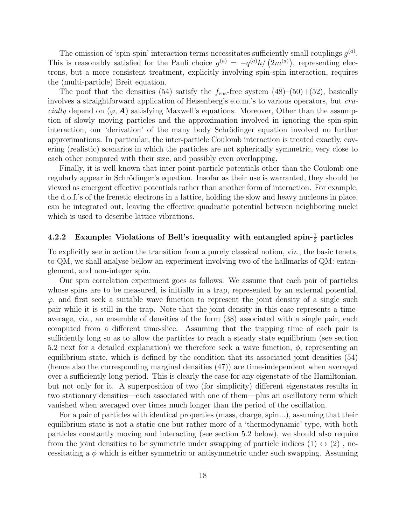The omission of 'spin-spin' interaction terms necessitates sufficiently small couplings  $g^{(a)}$ . This is reasonably satisfied for the Pauli choice  $g^{(a)} = -q^{(a)}\hbar/(2m^{(a)})$ , representing electrons, but a more consistent treatment, explicitly involving spin-spin interaction, requires the (multi-particle) Breit equation.

The poof that the densities (54) satisfy the  $f_{\text{ens}}$ -free system  $(48)$ –(50)+(52), basically involves a straightforward application of Heisenberg's e.o.m.'s to various operators, but cru*cially* depend on  $(\varphi, \mathbf{A})$  satisfying Maxwell's equations. Moreover, Other than the assumption of slowly moving particles and the approximation involved in ignoring the spin-spin interaction, our 'derivation' of the many body Schrödinger equation involved no further approximations. In particular, the inter-particle Coulomb interaction is treated exactly, covering (realistic) scenarios in which the particles are not spherically symmetric, very close to each other compared with their size, and possibly even overlapping.

Finally, it is well known that inter point-particle potentials other than the Coulomb one regularly appear in Schrödinger's equation. Insofar as their use is warranted, they should be viewed as emergent effective potentials rather than another form of interaction. For example, the d.o.f.'s of the frenetic electrons in a lattice, holding the slow and heavy nucleons in place, can be integrated out, leaving the effective quadratic potential between neighboring nuclei which is used to describe lattice vibrations.

## 4.2.2 Example: Violations of Bell's inequality with entangled spin- $\frac{1}{2}$  particles

To explicitly see in action the transition from a purely classical notion, viz., the basic tenets, to QM, we shall analyse bellow an experiment involving two of the hallmarks of QM: entanglement, and non-integer spin.

Our spin correlation experiment goes as follows. We assume that each pair of particles whose spins are to be measured, is initially in a trap, represented by an external potential,  $\varphi$ , and first seek a suitable wave function to represent the joint density of a single such pair while it is still in the trap. Note that the joint density in this case represents a timeaverage, viz., an ensemble of densities of the form (38) associated with a single pair, each computed from a different time-slice. Assuming that the trapping time of each pair is sufficiently long so as to allow the particles to reach a steady state equilibrium (see section 5.2 next for a detailed explanation) we therefore seek a wave function,  $\phi$ , representing an equilibrium state, which is defined by the condition that its associated joint densities (54) (hence also the corresponding marginal densities (47)) are time-independent when averaged over a sufficiently long period. This is clearly the case for any eigenstate of the Hamiltonian, but not only for it. A superposition of two (for simplicity) different eigenstates results in two stationary densities—each associated with one of them—plus an oscillatory term which vanished when averaged over times much longer than the period of the oscillation.

For a pair of particles with identical properties (mass, charge, spin...), assuming that their equilibrium state is not a static one but rather more of a 'thermodynamic' type, with both particles constantly moving and interacting (see section 5.2 below), we should also require from the joint densities to be symmetric under swapping of particle indices  $(1) \leftrightarrow (2)$ , necessitating a  $\phi$  which is either symmetric or antisymmetric under such swapping. Assuming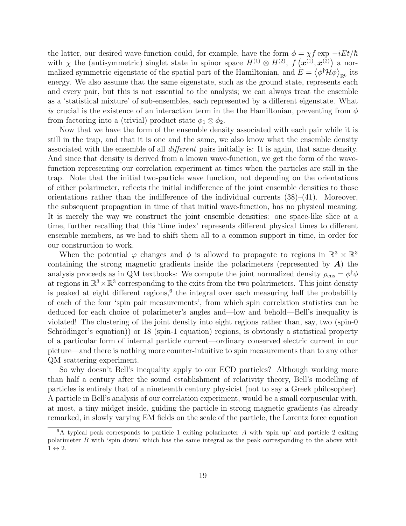the latter, our desired wave-function could, for example, have the form  $\phi = \chi f \exp{-iEt/\hbar}$ with  $\chi$  the (antisymmetric) singlet state in spinor space  $H^{(1)} \otimes H^{(2)}$ ,  $f(\mathbf{x}^{(1)}, \mathbf{x}^{(2)})$  a normalized symmetric eigenstate of the spatial part of the Hamiltonian, and  $E = \langle \phi^\dagger \mathcal{H} \phi \rangle_{\mathbb{R}^6}$  its energy. We also assume that the same eigenstate, such as the ground state, represents each and every pair, but this is not essential to the analysis; we can always treat the ensemble as a 'statistical mixture' of sub-ensembles, each represented by a different eigenstate. What is crucial is the existence of an interaction term in the the Hamiltonian, preventing from  $\phi$ from factoring into a (trivial) product state  $\phi_1 \otimes \phi_2$ .

Now that we have the form of the ensemble density associated with each pair while it is still in the trap, and that it is one and the same, we also know what the ensemble density associated with the ensemble of all different pairs initially is: It is again, that same density. And since that density is derived from a known wave-function, we get the form of the wavefunction representing our correlation experiment at times when the particles are still in the trap. Note that the initial two-particle wave function, not depending on the orientations of either polarimeter, reflects the initial indifference of the joint ensemble densities to those orientations rather than the indifference of the individual currents  $(38)$ – $(41)$ . Moreover, the subsequent propagation in time of that initial wave-function, has no physical meaning. It is merely the way we construct the joint ensemble densities: one space-like slice at a time, further recalling that this 'time index' represents different physical times to different ensemble members, as we had to shift them all to a common support in time, in order for our construction to work.

When the potential  $\varphi$  changes and  $\phi$  is allowed to propagate to regions in  $\mathbb{R}^3 \times \mathbb{R}^3$ containing the strong magnetic gradients inside the polarimeters (represented by  $A$ ) the analysis proceeds as in QM textbooks: We compute the joint normalized density  $\rho_{\text{ens}} = \phi^{\dagger} \phi$ at regions in  $\mathbb{R}^3 \times \mathbb{R}^3$  corresponding to the exits from the two polarimeters. This joint density is peaked at eight different regions,<sup>6</sup> the integral over each measuring half the probability of each of the four 'spin pair measurements', from which spin correlation statistics can be deduced for each choice of polarimeter's angles and—low and behold—Bell's inequality is violated! The clustering of the joint density into eight regions rather than, say, two (spin-0 Schrödinger's equation)) or 18 (spin-1 equation) regions, is obviously a statistical property of a particular form of internal particle current—ordinary conserved electric current in our picture—and there is nothing more counter-intuitive to spin measurements than to any other QM scattering experiment.

So why doesn't Bell's inequality apply to our ECD particles? Although working more than half a century after the sound establishment of relativity theory, Bell's modelling of particles is entirely that of a nineteenth century physicist (not to say a Greek philosopher). A particle in Bell's analysis of our correlation experiment, would be a small corpuscular with, at most, a tiny midget inside, guiding the particle in strong magnetic gradients (as already remarked, in slowly varying EM fields on the scale of the particle, the Lorentz force equation

 ${}^6A$  typical peak corresponds to particle 1 exiting polarimeter A with 'spin up' and particle 2 exiting polarimeter B with 'spin down' which has the same integral as the peak corresponding to the above with  $1 \leftrightarrow 2$ .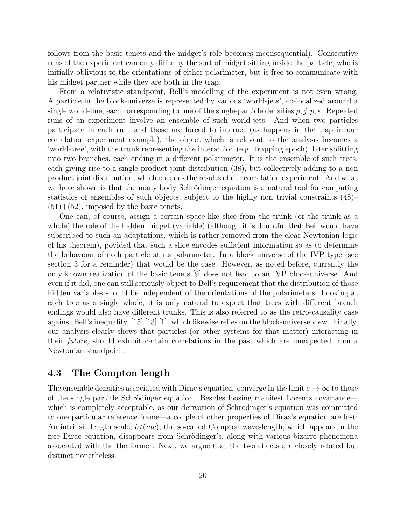follows from the basic tenets and the midget's role becomes inconsequential). Consecutive runs of the experiment can only differ by the sort of midget sitting inside the particle, who is initially oblivious to the orientations of either polarimeter, but is free to communicate with his midget partner while they are both in the trap.

From a relativistic standpoint, Bell's modelling of the experiment is not even wrong. A particle in the block-universe is represented by various 'world-jets', co-localized around a single world-line, each corresponding to one of the single-particle densities  $\rho, j, p, \epsilon$ . Repeated runs of an experiment involve an ensemble of such world-jets. And when two particles participate in each run, and those are forced to interact (as happens in the trap in our correlation experiment example), the object which is relevant to the analysis becomes a 'world-tree', with the trunk representing the interaction (e.g. trapping epoch), later splitting into two branches, each ending in a different polarimeter. It is the ensemble of such trees, each giving rise to a single product joint distribution (38), but collectively adding to a non product joint distribution, which encodes the results of our correlation experiment. And what we have shown is that the many body Schrödinger equation is a natural tool for computing statistics of ensembles of such objects, subject to the highly non trivial constraints (48)–  $(51)+(52)$ , imposed by the basic tenets.

One can, of course, assign a certain space-like slice from the trunk (or the trunk as a whole) the role of the hidden midget (variable) (although it is doubtful that Bell would have subscribed to such an adaptations, which is rather removed from the clear Newtonian logic of his theorem), povided that such a slice encodes sufficient information so as to determine the behaviour of each particle at its polarimeter. In a block universe of the IVP type (see section 3 for a reminder) that would be the case. However, as noted before, currently the only known realization of the basic tenets [9] does not lead to an IVP block-universe. And even if it did, one can still seriously object to Bell's requirement that the distribution of those hidden variables should be independent of the orientations of the polarimeters. Looking at each tree as a single whole, it is only natural to expect that trees with different branch endings would also have different trunks. This is also referred to as the retro-causality case against Bell's inequality, [15] [13] [1], which likewise relies on the block-universe view. Finally, our analysis clearly shows that particles (or other systems for that matter) interacting in their future, should exhibit certain correlations in the past which are unexpected from a Newtonian standpoint.

#### 4.3 The Compton length

The ensemble densities associated with Dirac's equation, converge in the limit  $c \to \infty$  to those of the single particle Schrödinger equation. Besides loosing manifest Lorentz covariance which is completely acceptable, as our derivation of Schrödinger's equation was committed to one particular reference frame—a couple of other properties of Dirac's equation are lost: An intrinsic length scale,  $\hbar/(mc)$ , the so-called Compton wave-length, which appears in the free Dirac equation, disappears from Schrödinger's, along with various bizarre phenomena associated with the the former. Next, we argue that the two effects are closely related but distinct nonetheless.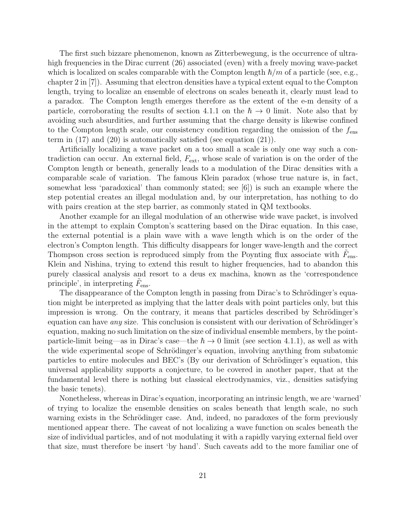The first such bizzare phenomenon, known as Zitterbewegung, is the occurrence of ultrahigh frequencies in the Dirac current (26) associated (even) with a freely moving wave-packet which is localized on scales comparable with the Compton length  $\hbar/m$  of a particle (see, e.g., chapter 2 in [7]). Assuming that electron densities have a typical extent equal to the Compton length, trying to localize an ensemble of electrons on scales beneath it, clearly must lead to a paradox. The Compton length emerges therefore as the extent of the e-m density of a particle, corroborating the results of section 4.1.1 on the  $\hbar \to 0$  limit. Note also that by avoiding such absurdities, and further assuming that the charge density is likewise confined to the Compton length scale, our consistency condition regarding the omission of the  $f_{\text{ens}}$ term in (17) and (20) is automatically satisfied (see equation (21)).

Artificially localizing a wave packet on a too small a scale is only one way such a contradiction can occur. An external field,  $F_{\text{ext}}$ , whose scale of variation is on the order of the Compton length or beneath, generally leads to a modulation of the Dirac densities with a comparable scale of variation. The famous Klein paradox (whose true nature is, in fact, somewhat less 'paradoxical' than commonly stated; see [6]) is such an example where the step potential creates an illegal modulation and, by our interpretation, has nothing to do with pairs creation at the step barrier, as commonly stated in QM textbooks.

Another example for an illegal modulation of an otherwise wide wave packet, is involved in the attempt to explain Compton's scattering based on the Dirac equation. In this case, the external potential is a plain wave with a wave length which is on the order of the electron's Compton length. This difficulty disappears for longer wave-length and the correct Thompson cross section is reproduced simply from the Poynting flux associate with  $\tilde{F}_{\text{ens}}$ . Klein and Nishina, trying to extend this result to higher frequencies, had to abandon this purely classical analysis and resort to a deus ex machina, known as the 'correspondence principle', in interpreting  $\tilde{F}_{\text{ens}}$ .

The disappearance of the Compton length in passing from Dirac's to Schrödinger's equation might be interpreted as implying that the latter deals with point particles only, but this impression is wrong. On the contrary, it means that particles described by Schrödinger's equation can have any size. This conclusion is consistent with our derivation of Schrödinger's equation, making no such limitation on the size of individual ensemble members, by the pointparticle-limit being—as in Dirac's case—the  $\hbar \to 0$  limit (see section 4.1.1), as well as with the wide experimental scope of Schrödinger's equation, involving anything from subatomic particles to entire molecules and BEC's (By our derivation of Schrödinger's equation, this universal applicability supports a conjecture, to be covered in another paper, that at the fundamental level there is nothing but classical electrodynamics, viz., densities satisfying the basic tenets).

Nonetheless, whereas in Dirac's equation, incorporating an intrinsic length, we are 'warned' of trying to localize the ensemble densities on scales beneath that length scale, no such warning exists in the Schrödinger case. And, indeed, no paradoxes of the form previously mentioned appear there. The caveat of not localizing a wave function on scales beneath the size of individual particles, and of not modulating it with a rapidly varying external field over that size, must therefore be insert 'by hand'. Such caveats add to the more familiar one of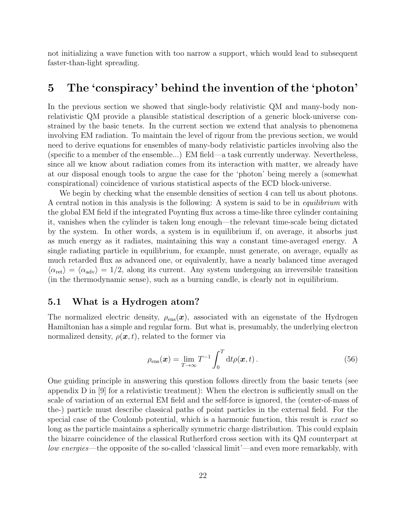not initializing a wave function with too narrow a support, which would lead to subsequent faster-than-light spreading.

## 5 The 'conspiracy' behind the invention of the 'photon'

In the previous section we showed that single-body relativistic QM and many-body nonrelativistic QM provide a plausible statistical description of a generic block-universe constrained by the basic tenets. In the current section we extend that analysis to phenomena involving EM radiation. To maintain the level of rigour from the previous section, we would need to derive equations for ensembles of many-body relativistic particles involving also the (specific to a member of the ensemble...) EM field—a task currently underway. Nevertheless, since all we know about radiation comes from its interaction with matter, we already have at our disposal enough tools to argue the case for the 'photon' being merely a (somewhat conspirational) coincidence of various statistical aspects of the ECD block-universe.

We begin by checking what the ensemble densities of section 4 can tell us about photons. A central notion in this analysis is the following: A system is said to be in *equilibrium* with the global EM field if the integrated Poynting flux across a time-like three cylinder containing it, vanishes when the cylinder is taken long enough—the relevant time-scale being dictated by the system. In other words, a system is in equilibrium if, on average, it absorbs just as much energy as it radiates, maintaining this way a constant time-averaged energy. A single radiating particle in equilibrium, for example, must generate, on average, equally as much retarded flux as advanced one, or equivalently, have a nearly balanced time averaged  $\langle \alpha_{\rm ret} \rangle = \langle \alpha_{\rm adv} \rangle = 1/2$ , along its current. Any system undergoing an irreversible transition (in the thermodynamic sense), such as a burning candle, is clearly not in equilibrium.

#### 5.1 What is a Hydrogen atom?

The normalized electric density,  $\rho_{\text{ens}}(x)$ , associated with an eigenstate of the Hydrogen Hamiltonian has a simple and regular form. But what is, presumably, the underlying electron normalized density,  $\rho(\boldsymbol{x}, t)$ , related to the former via

$$
\rho_{\rm ens}(\boldsymbol{x}) = \lim_{T \to \infty} T^{-1} \int_0^T dt \rho(\boldsymbol{x}, t).
$$
\n(56)

One guiding principle in answering this question follows directly from the basic tenets (see appendix D in [9] for a relativistic treatment): When the electron is sufficiently small on the scale of variation of an external EM field and the self-force is ignored, the (center-of-mass of the-) particle must describe classical paths of point particles in the external field. For the special case of the Coulomb potential, which is a harmonic function, this result is exact so long as the particle maintains a spherically symmetric charge distribution. This could explain the bizarre coincidence of the classical Rutherford cross section with its QM counterpart at low energies—the opposite of the so-called 'classical limit'—and even more remarkably, with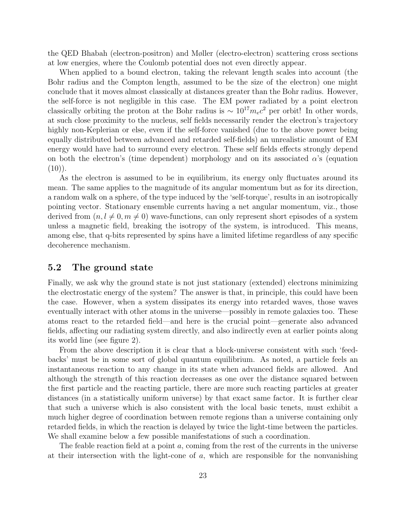the QED Bhabah (electron-positron) and Møller (electro-electron) scattering cross sections at low energies, where the Coulomb potential does not even directly appear.

When applied to a bound electron, taking the relevant length scales into account (the Bohr radius and the Compton length, assumed to be the size of the electron) one might conclude that it moves almost classically at distances greater than the Bohr radius. However, the self-force is not negligible in this case. The EM power radiated by a point electron classically orbiting the proton at the Bohr radius is  $\sim 10^{17} m_e c^2$  per orbit! In other words, at such close proximity to the nucleus, self fields necessarily render the electron's trajectory highly non-Keplerian or else, even if the self-force vanished (due to the above power being equally distributed between advanced and retarded self-fields) an unrealistic amount of EM energy would have had to surround every electron. These self fields effects strongly depend on both the electron's (time dependent) morphology and on its associated  $\alpha$ 's (equation  $(10)$ .

As the electron is assumed to be in equilibrium, its energy only fluctuates around its mean. The same applies to the magnitude of its angular momentum but as for its direction, a random walk on a sphere, of the type induced by the 'self-torque', results in an isotropically pointing vector. Stationary ensemble currents having a net angular momentum, viz., those derived from  $(n, l \neq 0, m \neq 0)$  wave-functions, can only represent short episodes of a system unless a magnetic field, breaking the isotropy of the system, is introduced. This means, among else, that q-bits represented by spins have a limited lifetime regardless of any specific decoherence mechanism.

### 5.2 The ground state

Finally, we ask why the ground state is not just stationary (extended) electrons minimizing the electrostatic energy of the system? The answer is that, in principle, this could have been the case. However, when a system dissipates its energy into retarded waves, those waves eventually interact with other atoms in the universe—possibly in remote galaxies too. These atoms react to the retarded field—and here is the crucial point—generate also advanced fields, affecting our radiating system directly, and also indirectly even at earlier points along its world line (see figure 2).

From the above description it is clear that a block-universe consistent with such 'feedbacks' must be in some sort of global quantum equilibrium. As noted, a particle feels an instantaneous reaction to any change in its state when advanced fields are allowed. And although the strength of this reaction decreases as one over the distance squared between the first particle and the reacting particle, there are more such reacting particles at greater distances (in a statistically uniform universe) by that exact same factor. It is further clear that such a universe which is also consistent with the local basic tenets, must exhibit a much higher degree of coordination between remote regions than a universe containing only retarded fields, in which the reaction is delayed by twice the light-time between the particles. We shall examine below a few possible manifestations of such a coordination.

The feable reaction field at a point  $a$ , coming from the rest of the currents in the universe at their intersection with the light-cone of  $a$ , which are responsible for the nonvanishing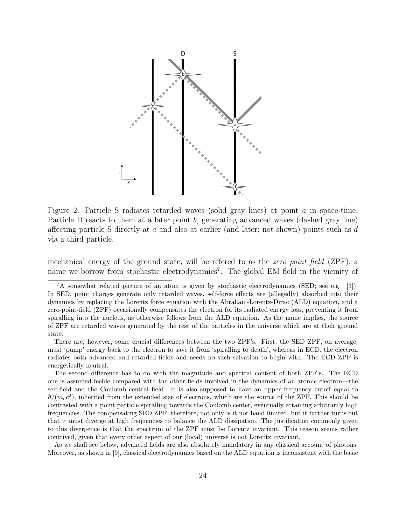

Figure 2: Particle S radiates retarded waves (solid gray lines) at point a in space-time. Particle D reacts to them at a later point b, generating advanced waves (dashed gray line) affecting particle S directly at  $a$  and also at earlier (and later; not shown) points such as  $d$ via a third particle.

mechanical energy of the ground state, will be refered to as the zero point field (ZPF), a name we borrow from stochastic electrodynamics<sup>7</sup>. The global EM field in the vicinity of

As we shall see below, advanced fields are also absolutely mandatory in any classical account of photons. Moreover, as shown in [9], classical electrodynamics based on the ALD equation is inconsistent with the basic

<sup>7</sup>A somewhat related picture of an atom is given by stochastic electrodynamics (SED; see e.g. [3]). In SED, point charges generate only retarded waves, self-force effects are (allegedly) absorbed into their dynamics by replacing the Lorentz force equation with the Abraham-Lorentz-Dirac (ALD) equation, and a zero-point-field (ZPF) occasionally compensates the electron for its radiated energy loss, preventing it from spiralling into the nucleus, as otherwise follows from the ALD equation. As the name implies, the source of ZPF are retarded waves generated by the rest of the particles in the universe which are at their ground state.

There are, however, some crucial differences between the two ZPF's. First, the SED ZPF, on average, must 'pump' energy back to the electron to save it from 'spiralling to death', whereas in ECD, the electron radiates both advanced and retarded fields and needs no such salvation to begin with. The ECD ZPF is energetically neutral.

The second difference has to do with the magnitude and spectral content of both ZPF's. The ECD one is assumed feeble compared with the other fields involved in the dynamics of an atomic electron—the self-field and the Coulomb central field. It is also supposed to have an upper frequency cutoff equal to  $\hbar/(m_ec^2)$ , inherited from the extended size of electrons, which are the source of the ZPF. This should be contrasted with a point particle spiralling towards the Coulomb center, eventually attaining arbitrarily high frequencies. The compensating SED ZPF, therefore, not only is it not band limited, but it further turns out that it must diverge at high frequencies to balance the ALD dissipation. The justification commonly given to this divergence is that the spectrum of the ZPF must be Lorentz invariant. This reason seems rather contrived, given that every other aspect of our (local) universe is not Lorentz invariant.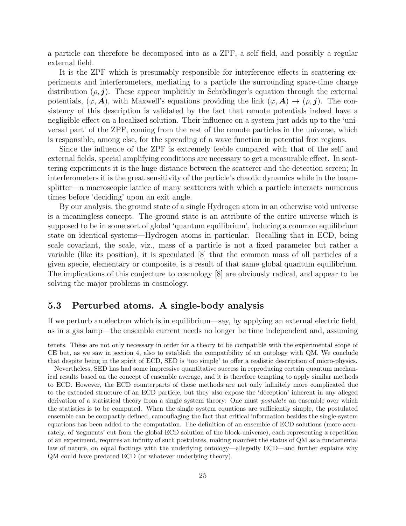a particle can therefore be decomposed into as a ZPF, a self field, and possibly a regular external field.

It is the ZPF which is presumably responsible for interference effects in scattering experiments and interferometers, mediating to a particle the surrounding space-time charge distribution  $(\rho, \mathbf{j})$ . These appear implicitly in Schrödinger's equation through the external potentials,  $(\varphi, \mathbf{A})$ , with Maxwell's equations providing the link  $(\varphi, \mathbf{A}) \to (\rho, \mathbf{j})$ . The consistency of this description is validated by the fact that remote potentials indeed have a negligible effect on a localized solution. Their influence on a system just adds up to the 'universal part' of the ZPF, coming from the rest of the remote particles in the universe, which is responsible, among else, for the spreading of a wave function in potential free regions.

Since the influence of the ZPF is extremely feeble compared with that of the self and external fields, special amplifying conditions are necessary to get a measurable effect. In scattering experiments it is the huge distance between the scatterer and the detection screen; In interferometers it is the great sensitivity of the particle's chaotic dynamics while in the beamsplitter—a macroscopic lattice of many scatterers with which a particle interacts numerous times before 'deciding' upon an exit angle.

By our analysis, the ground state of a single Hydrogen atom in an otherwise void universe is a meaningless concept. The ground state is an attribute of the entire universe which is supposed to be in some sort of global 'quantum equilibrium', inducing a common equilibrium state on identical systems—Hydrogen atoms in particular. Recalling that in ECD, being scale covariant, the scale, viz., mass of a particle is not a fixed parameter but rather a variable (like its position), it is speculated [8] that the common mass of all particles of a given specie, elementary or composite, is a result of that same global quantum equilibrium. The implications of this conjecture to cosmology [8] are obviously radical, and appear to be solving the major problems in cosmology.

### 5.3 Perturbed atoms. A single-body analysis

If we perturb an electron which is in equilibrium—say, by applying an external electric field, as in a gas lamp—the ensemble current needs no longer be time independent and, assuming

tenets. These are not only necessary in order for a theory to be compatible with the experimental scope of CE but, as we saw in section 4, also to establish the compatibility of an ontology with QM. We conclude that despite being in the spirit of ECD, SED is 'too simple' to offer a realistic description of micro-physics.

Nevertheless, SED has had some impressive quantitative success in reproducing certain quantum mechanical results based on the concept of ensemble average, and it is therefore tempting to apply similar methods to ECD. However, the ECD counterparts of those methods are not only infinitely more complicated due to the extended structure of an ECD particle, but they also expose the 'deception' inherent in any alleged derivation of a statistical theory from a single system theory: One must *postulate* an ensemble over which the statistics is to be computed. When the single system equations are sufficiently simple, the postulated ensemble can be compactly defined, camouflaging the fact that critical information besides the single-system equations has been added to the computation. The definition of an ensemble of ECD solutions (more accurately, of 'segments' cut from the global ECD solution of the block-universe), each representing a repetition of an experiment, requires an infinity of such postulates, making manifest the status of QM as a fundamental law of nature, on equal footings with the underlying ontology—allegedly ECD—and further explains why QM could have predated ECD (or whatever underlying theory).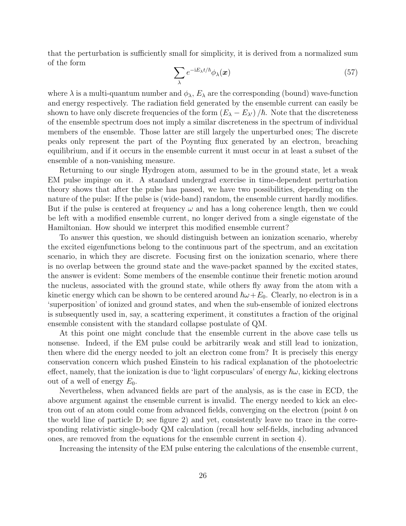that the perturbation is sufficiently small for simplicity, it is derived from a normalized sum of the form

$$
\sum_{\lambda} e^{-iE_{\lambda}t/\hbar} \phi_{\lambda}(\boldsymbol{x}) \tag{57}
$$

where  $\lambda$  is a multi-quantum number and  $\phi_{\lambda}$ ,  $E_{\lambda}$  are the corresponding (bound) wave-function and energy respectively. The radiation field generated by the ensemble current can easily be shown to have only discrete frequencies of the form  $(E_{\lambda} - E_{\lambda'})/\hbar$ . Note that the discreteness of the ensemble spectrum does not imply a similar discreteness in the spectrum of individual members of the ensemble. Those latter are still largely the unperturbed ones; The discrete peaks only represent the part of the Poynting flux generated by an electron, breaching equilibrium, and if it occurs in the ensemble current it must occur in at least a subset of the ensemble of a non-vanishing measure.

Returning to our single Hydrogen atom, assumed to be in the ground state, let a weak EM pulse impinge on it. A standard undergrad exercise in time-dependent perturbation theory shows that after the pulse has passed, we have two possibilities, depending on the nature of the pulse: If the pulse is (wide-band) random, the ensemble current hardly modifies. But if the pulse is centered at frequency  $\omega$  and has a long coherence length, then we could be left with a modified ensemble current, no longer derived from a single eigenstate of the Hamiltonian. How should we interpret this modified ensemble current?

To answer this question, we should distinguish between an ionization scenario, whereby the excited eigenfunctions belong to the continuous part of the spectrum, and an excitation scenario, in which they are discrete. Focusing first on the ionization scenario, where there is no overlap between the ground state and the wave-packet spanned by the excited states, the answer is evident: Some members of the ensemble continue their frenetic motion around the nucleus, associated with the ground state, while others fly away from the atom with a kinetic energy which can be shown to be centered around  $\hbar\omega+E_0$ . Clearly, no electron is in a 'superposition' of ionized and ground states, and when the sub-ensemble of ionized electrons is subsequently used in, say, a scattering experiment, it constitutes a fraction of the original ensemble consistent with the standard collapse postulate of QM.

At this point one might conclude that the ensemble current in the above case tells us nonsense. Indeed, if the EM pulse could be arbitrarily weak and still lead to ionization, then where did the energy needed to jolt an electron come from? It is precisely this energy conservation concern which pushed Einstein to his radical explanation of the photoelectric effect, namely, that the ionization is due to 'light corpusculars' of energy  $\hbar\omega$ , kicking electrons out of a well of energy  $E_0$ .

Nevertheless, when advanced fields are part of the analysis, as is the case in ECD, the above argument against the ensemble current is invalid. The energy needed to kick an electron out of an atom could come from advanced fields, converging on the electron (point b on the world line of particle D; see figure 2) and yet, consistently leave no trace in the corresponding relativistic single-body QM calculation (recall how self-fields, including advanced ones, are removed from the equations for the ensemble current in section 4).

Increasing the intensity of the EM pulse entering the calculations of the ensemble current,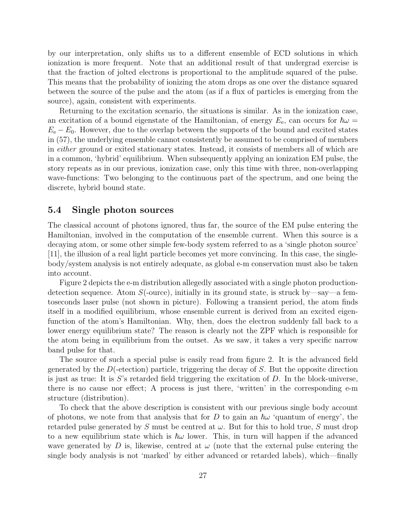by our interpretation, only shifts us to a different ensemble of ECD solutions in which ionization is more frequent. Note that an additional result of that undergrad exercise is that the fraction of jolted electrons is proportional to the amplitude squared of the pulse. This means that the probability of ionizing the atom drops as one over the distance squared between the source of the pulse and the atom (as if a flux of particles is emerging from the source), again, consistent with experiments.

Returning to the excitation scenario, the situations is similar. As in the ionization case, an excitation of a bound eigenstate of the Hamiltonian, of energy  $E_e$ , can occurs for  $\hbar\omega$  =  $E_e - E_0$ . However, due to the overlap between the supports of the bound and excited states in (57), the underlying ensemble cannot consistently be assumed to be comprised of members in either ground or exited stationary states. Instead, it consists of members all of which are in a common, 'hybrid' equilibrium. When subsequently applying an ionization EM pulse, the story repeats as in our previous, ionization case, only this time with three, non-overlapping wave-functions: Two belonging to the continuous part of the spectrum, and one being the discrete, hybrid bound state.

#### 5.4 Single photon sources

The classical account of photons ignored, thus far, the source of the EM pulse entering the Hamiltonian, involved in the computation of the ensemble current. When this source is a decaying atom, or some other simple few-body system referred to as a 'single photon source' [11], the illusion of a real light particle becomes yet more convincing. In this case, the singlebody/system analysis is not entirely adequate, as global e-m conservation must also be taken into account.

Figure 2 depicts the e-m distribution allegedly associated with a single photon productiondetection sequence. Atom  $S$ (-ource), initially in its ground state, is struck by—say—a femtoseconds laser pulse (not shown in picture). Following a transient period, the atom finds itself in a modified equilibrium, whose ensemble current is derived from an excited eigenfunction of the atom's Hamiltonian. Why, then, does the electron suddenly fall back to a lower energy equilibrium state? The reason is clearly not the ZPF which is responsible for the atom being in equilibrium from the outset. As we saw, it takes a very specific narrow band pulse for that.

The source of such a special pulse is easily read from figure 2. It is the advanced field generated by the  $D$ (-etection) particle, triggering the decay of S. But the opposite direction is just as true: It is  $S$ 's retarded field triggering the excitation of  $D$ . In the block-universe, there is no cause nor effect; A process is just there, 'written' in the corresponding e-m structure (distribution).

To check that the above description is consistent with our previous single body account of photons, we note from that analysis that for D to gain an  $\hbar\omega$  'quantum of energy', the retarded pulse generated by S must be centred at  $\omega$ . But for this to hold true, S must drop to a new equilibrium state which is  $\hbar\omega$  lower. This, in turn will happen if the advanced wave generated by D is, likewise, centred at  $\omega$  (note that the external pulse entering the single body analysis is not 'marked' by either advanced or retarded labels), which—finally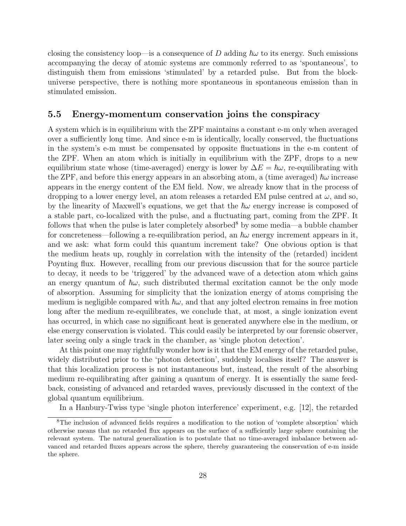closing the consistency loop—is a consequence of D adding  $\hbar\omega$  to its energy. Such emissions accompanying the decay of atomic systems are commonly referred to as 'spontaneous', to distinguish them from emissions 'stimulated' by a retarded pulse. But from the blockuniverse perspective, there is nothing more spontaneous in spontaneous emission than in stimulated emission.

#### 5.5 Energy-momentum conservation joins the conspiracy

A system which is in equilibrium with the ZPF maintains a constant e-m only when averaged over a sufficiently long time. And since e-m is identically, locally conserved, the fluctuations in the system's e-m must be compensated by opposite fluctuations in the e-m content of the ZPF. When an atom which is initially in equilibrium with the ZPF, drops to a new equilibrium state whose (time-averaged) energy is lower by  $\Delta E = \hbar \omega$ , re-equilibrating with the ZPF, and before this energy appears in an absorbing atom, a (time averaged)  $\hbar\omega$  increase appears in the energy content of the EM field. Now, we already know that in the process of dropping to a lower energy level, an atom releases a retarded EM pulse centred at  $\omega$ , and so, by the linearity of Maxwell's equations, we get that the  $\hbar\omega$  energy increase is composed of a stable part, co-localized with the pulse, and a fluctuating part, coming from the ZPF. It follows that when the pulse is later completely absorbed<sup>8</sup> by some media—a bubble chamber for concreteness—following a re-equilibration period, an  $\hbar\omega$  energy increment appears in it, and we ask: what form could this quantum increment take? One obvious option is that the medium heats up, roughly in correlation with the intensity of the (retarded) incident Poynting flux. However, recalling from our previous discussion that for the source particle to decay, it needs to be 'triggered' by the advanced wave of a detection atom which gains an energy quantum of  $\hbar\omega$ , such distributed thermal excitation cannot be the only mode of absorption. Assuming for simplicity that the ionization energy of atoms comprising the medium is negligible compared with  $\hbar\omega$ , and that any jolted electron remains in free motion long after the medium re-equilibrates, we conclude that, at most, a single ionization event has occurred, in which case no significant heat is generated anywhere else in the medium, or else energy conservation is violated. This could easily be interpreted by our forensic observer, later seeing only a single track in the chamber, as 'single photon detection'.

At this point one may rightfully wonder how is it that the EM energy of the retarded pulse, widely distributed prior to the 'photon detection', suddenly localises itself? The answer is that this localization process is not instantaneous but, instead, the result of the absorbing medium re-equilibrating after gaining a quantum of energy. It is essentially the same feedback, consisting of advanced and retarded waves, previously discussed in the context of the global quantum equilibrium.

In a Hanbury-Twiss type 'single photon interference' experiment, e.g. [12], the retarded

<sup>8</sup>The inclusion of advanced fields requires a modification to the notion of 'complete absorption' which otherwise means that no retarded flux appears on the surface of a sufficiently large sphere containing the relevant system. The natural generalization is to postulate that no time-averaged imbalance between advanced and retarded fluxes appears across the sphere, thereby guaranteeing the conservation of e-m inside the sphere.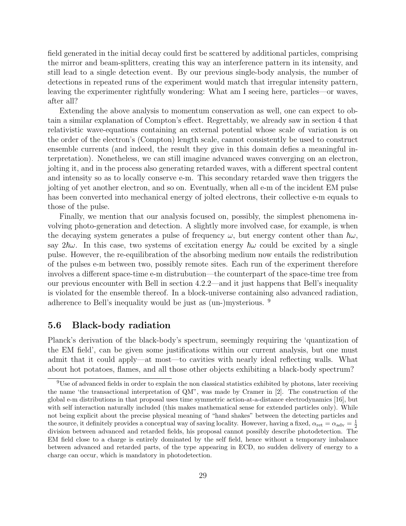field generated in the initial decay could first be scattered by additional particles, comprising the mirror and beam-splitters, creating this way an interference pattern in its intensity, and still lead to a single detection event. By our previous single-body analysis, the number of detections in repeated runs of the experiment would match that irregular intensity pattern, leaving the experimenter rightfully wondering: What am I seeing here, particles—or waves, after all?

Extending the above analysis to momentum conservation as well, one can expect to obtain a similar explanation of Compton's effect. Regrettably, we already saw in section 4 that relativistic wave-equations containing an external potential whose scale of variation is on the order of the electron's (Compton) length scale, cannot consistently be used to construct ensemble currents (and indeed, the result they give in this domain defies a meaningful interpretation). Nonetheless, we can still imagine advanced waves converging on an electron, jolting it, and in the process also generating retarded waves, with a different spectral content and intensity so as to locally conserve e-m. This secondary retarded wave then triggers the jolting of yet another electron, and so on. Eventually, when all e-m of the incident EM pulse has been converted into mechanical energy of jolted electrons, their collective e-m equals to those of the pulse.

Finally, we mention that our analysis focused on, possibly, the simplest phenomena involving photo-generation and detection. A slightly more involved case, for example, is when the decaying system generates a pulse of frequency  $\omega$ , but energy content other than  $\hbar\omega$ , say  $2\hbar\omega$ . In this case, two systems of excitation energy  $\hbar\omega$  could be excited by a single pulse. However, the re-equilibration of the absorbing medium now entails the redistribution of the pulses e-m between two, possibly remote sites. Each run of the experiment therefore involves a different space-time e-m distrubution—the counterpart of the space-time tree from our previous encounter with Bell in section 4.2.2—and it just happens that Bell's inequality is violated for the ensemble thereof. In a block-universe containing also advanced radiation, adherence to Bell's inequality would be just as (un-)mysterious. <sup>9</sup>

#### 5.6 Black-body radiation

Planck's derivation of the black-body's spectrum, seemingly requiring the 'quantization of the EM field', can be given some justifications within our current analysis, but one must admit that it could apply—at most—to cavities with nearly ideal reflecting walls. What about hot potatoes, flames, and all those other objects exhibiting a black-body spectrum?

<sup>9</sup>Use of advanced fields in order to explain the non classical statistics exhibited by photons, later receiving the name 'the transactional interpretation of QM", was made by Cramer in [2]. The construction of the global e-m distributions in that proposal uses time symmetric action-at-a-distance electrodynamics [16], but with self interaction naturally included (this makes mathematical sense for extended particles only). While not being explicit about the precise physical meaning of "hand shakes" between the detecting particles and the source, it definitely provides a conceptual way of saving locality. However, having a fixed,  $\alpha_{\rm ret} = \alpha_{\rm adv} = \frac{1}{2}$ division between advanced and retarded fields, his proposal cannot possibly describe photodetection. The EM field close to a charge is entirely dominated by the self field, hence without a temporary imbalance between advanced and retarded parts, of the type appearing in ECD, no sudden delivery of energy to a charge can occur, which is mandatory in photodetection.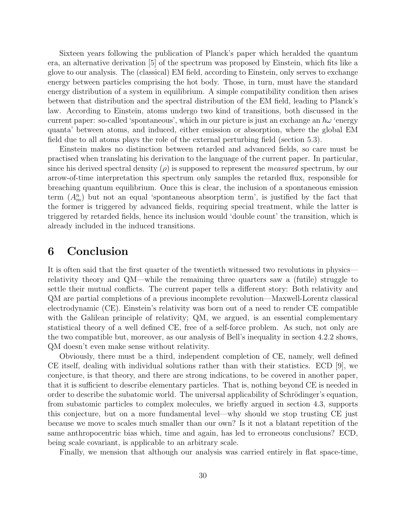Sixteen years following the publication of Planck's paper which heralded the quantum era, an alternative derivation [5] of the spectrum was proposed by Einstein, which fits like a glove to our analysis. The (classical) EM field, according to Einstein, only serves to exchange energy between particles comprising the hot body. Those, in turn, must have the standard energy distribution of a system in equilibrium. A simple compatibility condition then arises between that distribution and the spectral distribution of the EM field, leading to Planck's law. According to Einstein, atoms undergo two kind of transitions, both discussed in the current paper: so-called 'spontaneous', which in our picture is just an exchange an  $\hbar\omega$  'energy quanta' between atoms, and induced, either emission or absorption, where the global EM field due to all atoms plays the role of the external perturbing field (section 5.3).

Einstein makes no distinction between retarded and advanced fields, so care must be practised when translating his derivation to the language of the current paper. In particular, since his derived spectral density  $(\rho)$  is supposed to represent the *measured* spectrum, by our arrow-of-time interpretation this spectrum only samples the retarded flux, responsible for breaching quantum equilibrium. Once this is clear, the inclusion of a spontaneous emission term  $(A_m^n)$  but not an equal 'spontaneous absorption term', is justified by the fact that the former is triggered by advanced fields, requiring special treatment, while the latter is triggered by retarded fields, hence its inclusion would 'double count' the transition, which is already included in the induced transitions.

## 6 Conclusion

It is often said that the first quarter of the twentieth witnessed two revolutions in physics relativity theory and QM—while the remaining three quarters saw a (futile) struggle to settle their mutual conflicts. The current paper tells a different story: Both relativity and QM are partial completions of a previous incomplete revolution—Maxwell-Lorentz classical electrodynamic (CE). Einstein's relativity was born out of a need to render CE compatible with the Galilean principle of relativity; QM, we argued, is an essential complementary statistical theory of a well defined CE, free of a self-force problem. As such, not only are the two compatible but, moreover, as our analysis of Bell's inequality in section 4.2.2 shows, QM doesn't even make sense without relativity.

Obviously, there must be a third, independent completion of CE, namely, well defined CE itself, dealing with individual solutions rather than with their statistics. ECD [9], we conjecture, is that theory, and there are strong indications, to be covered in another paper, that it is sufficient to describe elementary particles. That is, nothing beyond CE is needed in order to describe the subatomic world. The universal applicability of Schrödinger's equation, from subatomic particles to complex molecules, we briefly argued in section 4.3, supports this conjecture, but on a more fundamental level—why should we stop trusting CE just because we move to scales much smaller than our own? Is it not a blatant repetition of the same anthropocentric bias which, time and again, has led to erroneous conclusions? ECD, being scale covariant, is applicable to an arbitrary scale.

Finally, we mension that although our analysis was carried entirely in flat space-time,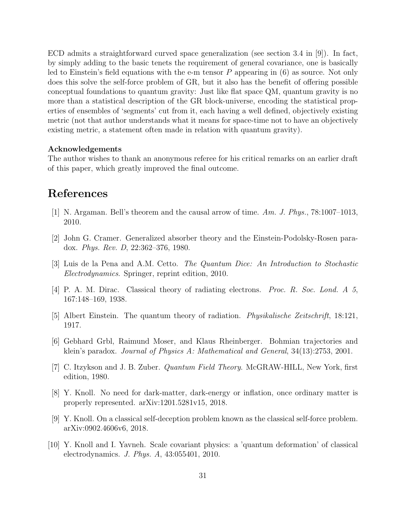ECD admits a straightforward curved space generalization (see section 3.4 in [9]). In fact, by simply adding to the basic tenets the requirement of general covariance, one is basically led to Einstein's field equations with the e-m tensor  $P$  appearing in  $(6)$  as source. Not only does this solve the self-force problem of GR, but it also has the benefit of offering possible conceptual foundations to quantum gravity: Just like flat space QM, quantum gravity is no more than a statistical description of the GR block-universe, encoding the statistical properties of ensembles of 'segments' cut from it, each having a well defined, objectively existing metric (not that author understands what it means for space-time not to have an objectively existing metric, a statement often made in relation with quantum gravity).

#### Acknowledgements

The author wishes to thank an anonymous referee for his critical remarks on an earlier draft of this paper, which greatly improved the final outcome.

# References

- [1] N. Argaman. Bell's theorem and the causal arrow of time. Am. J. Phys., 78:1007–1013, 2010.
- [2] John G. Cramer. Generalized absorber theory and the Einstein-Podolsky-Rosen paradox. Phys. Rev. D, 22:362–376, 1980.
- [3] Luis de la Pena and A.M. Cetto. The Quantum Dice: An Introduction to Stochastic Electrodynamics. Springer, reprint edition, 2010.
- [4] P. A. M. Dirac. Classical theory of radiating electrons. Proc. R. Soc. Lond. A 5, 167:148–169, 1938.
- [5] Albert Einstein. The quantum theory of radiation. Physikalische Zeitschrift, 18:121, 1917.
- [6] Gebhard Grbl, Raimund Moser, and Klaus Rheinberger. Bohmian trajectories and klein's paradox. Journal of Physics A: Mathematical and General, 34(13):2753, 2001.
- [7] C. Itzykson and J. B. Zuber. Quantum Field Theory. McGRAW-HILL, New York, first edition, 1980.
- [8] Y. Knoll. No need for dark-matter, dark-energy or inflation, once ordinary matter is properly represented. arXiv:1201.5281v15, 2018.
- [9] Y. Knoll. On a classical self-deception problem known as the classical self-force problem. arXiv:0902.4606v6, 2018.
- [10] Y. Knoll and I. Yavneh. Scale covariant physics: a 'quantum deformation' of classical electrodynamics. J. Phys. A, 43:055401, 2010.